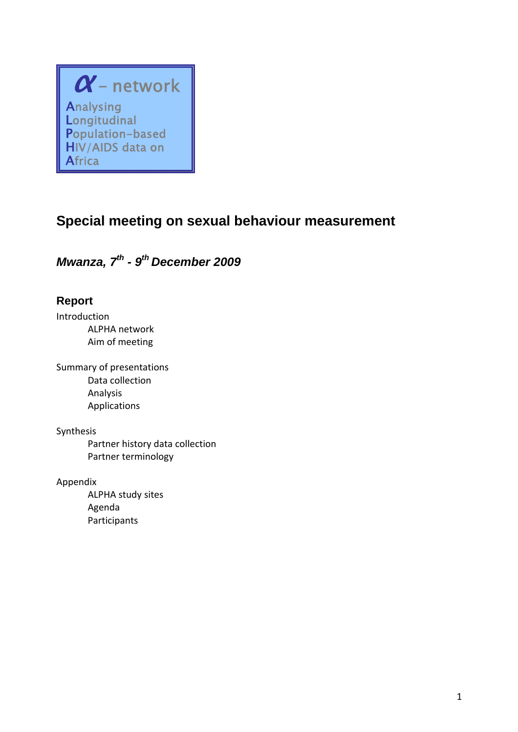## $\alpha$  - network Analysing **Longitudinal** Population-based HIV/AIDS data on Africa

# **Special meeting on sexual behaviour measurement**

*Mwanza, 7<sup>th</sup> - 9<sup>th</sup> December 2009* 

### **Report**

Introduction ALPHA network Aim of meeting

Summary of presentations Data collection Analysis Applications

#### Synthesis

Partner history data collection Partner terminology

Appendix

ALPHA study sites Agenda Participants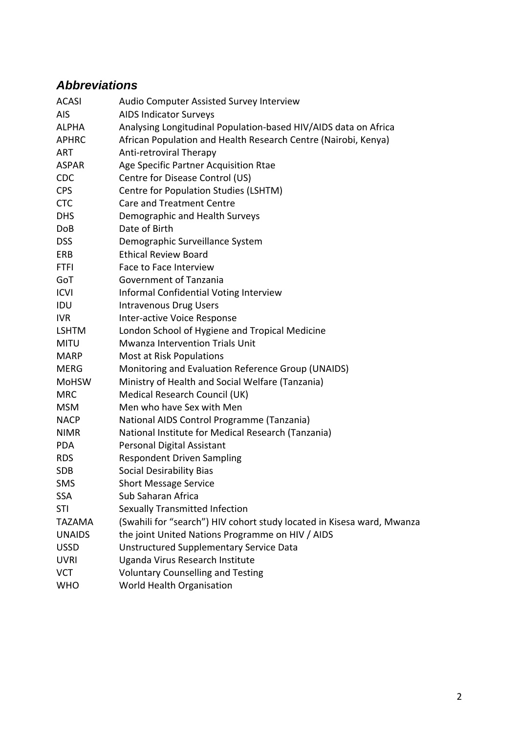# *Abbreviations*

| <b>ACASI</b>  | Audio Computer Assisted Survey Interview                               |
|---------------|------------------------------------------------------------------------|
| <b>AIS</b>    | <b>AIDS Indicator Surveys</b>                                          |
| <b>ALPHA</b>  | Analysing Longitudinal Population-based HIV/AIDS data on Africa        |
| <b>APHRC</b>  | African Population and Health Research Centre (Nairobi, Kenya)         |
| <b>ART</b>    | Anti-retroviral Therapy                                                |
| <b>ASPAR</b>  | Age Specific Partner Acquisition Rtae                                  |
| <b>CDC</b>    | Centre for Disease Control (US)                                        |
| <b>CPS</b>    | Centre for Population Studies (LSHTM)                                  |
| <b>CTC</b>    | <b>Care and Treatment Centre</b>                                       |
| <b>DHS</b>    | Demographic and Health Surveys                                         |
| <b>DoB</b>    | Date of Birth                                                          |
| <b>DSS</b>    | Demographic Surveillance System                                        |
| ERB           | <b>Ethical Review Board</b>                                            |
| <b>FTFI</b>   | Face to Face Interview                                                 |
| GoT           | Government of Tanzania                                                 |
| <b>ICVI</b>   | Informal Confidential Voting Interview                                 |
| IDU           | <b>Intravenous Drug Users</b>                                          |
| <b>IVR</b>    | Inter-active Voice Response                                            |
| <b>LSHTM</b>  | London School of Hygiene and Tropical Medicine                         |
| <b>MITU</b>   | Mwanza Intervention Trials Unit                                        |
| <b>MARP</b>   | Most at Risk Populations                                               |
| MERG          | Monitoring and Evaluation Reference Group (UNAIDS)                     |
| <b>MoHSW</b>  | Ministry of Health and Social Welfare (Tanzania)                       |
| <b>MRC</b>    | Medical Research Council (UK)                                          |
| <b>MSM</b>    | Men who have Sex with Men                                              |
| <b>NACP</b>   | National AIDS Control Programme (Tanzania)                             |
| <b>NIMR</b>   | National Institute for Medical Research (Tanzania)                     |
| <b>PDA</b>    | Personal Digital Assistant                                             |
| <b>RDS</b>    | <b>Respondent Driven Sampling</b>                                      |
| <b>SDB</b>    | <b>Social Desirability Bias</b>                                        |
| <b>SMS</b>    | <b>Short Message Service</b>                                           |
| <b>SSA</b>    | Sub Saharan Africa                                                     |
| STI           | Sexually Transmitted Infection                                         |
| <b>TAZAMA</b> | (Swahili for "search") HIV cohort study located in Kisesa ward, Mwanza |
| <b>UNAIDS</b> | the joint United Nations Programme on HIV / AIDS                       |
| <b>USSD</b>   | <b>Unstructured Supplementary Service Data</b>                         |
| <b>UVRI</b>   | Uganda Virus Research Institute                                        |
| <b>VCT</b>    | <b>Voluntary Counselling and Testing</b>                               |
| <b>WHO</b>    | World Health Organisation                                              |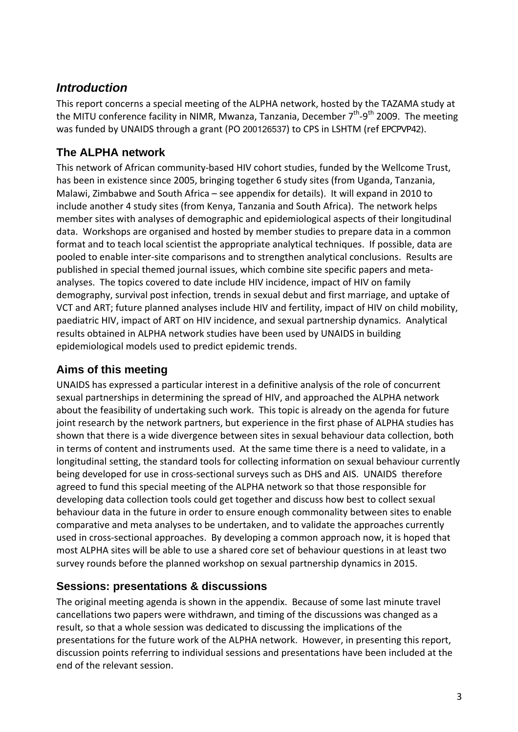### *Introduction*

This report concerns a special meeting of the ALPHA network, hosted by the TAZAMA study at the MITU conference facility in NIMR, Mwanza, Tanzania, December  $7<sup>th</sup>$ -9<sup>th</sup> 2009. The meeting was funded by UNAIDS through a grant (PO 200126537) to CPS in LSHTM (ref EPCPVP42).

#### **The ALPHA network**

This network of African community‐based HIV cohort studies, funded by the Wellcome Trust, has been in existence since 2005, bringing together 6 study sites (from Uganda, Tanzania, Malawi, Zimbabwe and South Africa – see appendix for details). It will expand in 2010 to include another 4 study sites (from Kenya, Tanzania and South Africa). The network helps member sites with analyses of demographic and epidemiological aspects of their longitudinal data. Workshops are organised and hosted by member studies to prepare data in a common format and to teach local scientist the appropriate analytical techniques. If possible, data are pooled to enable inter‐site comparisons and to strengthen analytical conclusions. Results are published in special themed journal issues, which combine site specific papers and meta‐ analyses. The topics covered to date include HIV incidence, impact of HIV on family demography, survival post infection, trends in sexual debut and first marriage, and uptake of VCT and ART; future planned analyses include HIV and fertility, impact of HIV on child mobility, paediatric HIV, impact of ART on HIV incidence, and sexual partnership dynamics. Analytical results obtained in ALPHA network studies have been used by UNAIDS in building epidemiological models used to predict epidemic trends.

#### **Aims of this meeting**

UNAIDS has expressed a particular interest in a definitive analysis of the role of concurrent sexual partnerships in determining the spread of HIV, and approached the ALPHA network about the feasibility of undertaking such work. This topic is already on the agenda for future joint research by the network partners, but experience in the first phase of ALPHA studies has shown that there is a wide divergence between sites in sexual behaviour data collection, both in terms of content and instruments used. At the same time there is a need to validate, in a longitudinal setting, the standard tools for collecting information on sexual behaviour currently being developed for use in cross-sectional surveys such as DHS and AIS. UNAIDS therefore agreed to fund this special meeting of the ALPHA network so that those responsible for developing data collection tools could get together and discuss how best to collect sexual behaviour data in the future in order to ensure enough commonality between sites to enable comparative and meta analyses to be undertaken, and to validate the approaches currently used in cross-sectional approaches. By developing a common approach now, it is hoped that most ALPHA sites will be able to use a shared core set of behaviour questions in at least two survey rounds before the planned workshop on sexual partnership dynamics in 2015.

#### **Sessions: presentations & discussions**

The original meeting agenda is shown in the appendix. Because of some last minute travel cancellations two papers were withdrawn, and timing of the discussions was changed as a result, so that a whole session was dedicated to discussing the implications of the presentations for the future work of the ALPHA network. However, in presenting this report, discussion points referring to individual sessions and presentations have been included at the end of the relevant session.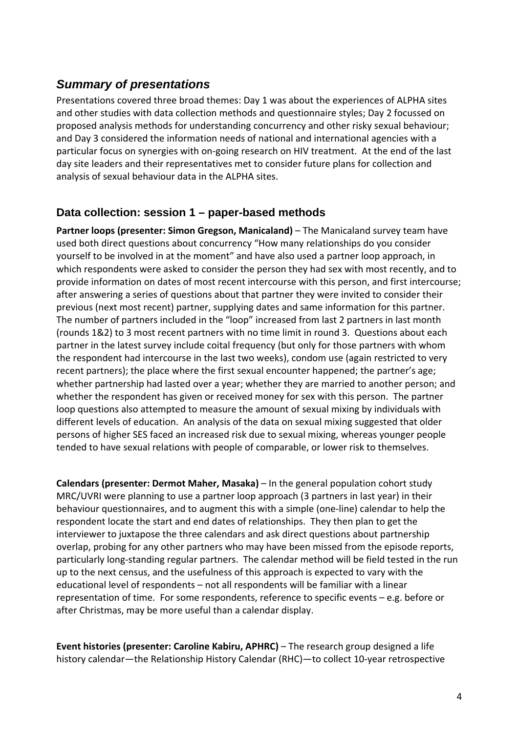#### *Summary of presentations*

Presentations covered three broad themes: Day 1 was about the experiences of ALPHA sites and other studies with data collection methods and questionnaire styles; Day 2 focussed on proposed analysis methods for understanding concurrency and other risky sexual behaviour; and Day 3 considered the information needs of national and international agencies with a particular focus on synergies with on‐going research on HIV treatment. At the end of the last day site leaders and their representatives met to consider future plans for collection and analysis of sexual behaviour data in the ALPHA sites.

#### **Data collection: session 1 – paper-based methods**

**Partner loops (presenter: Simon Gregson, Manicaland)** – The Manicaland survey team have used both direct questions about concurrency "How many relationships do you consider yourself to be involved in at the moment" and have also used a partner loop approach, in which respondents were asked to consider the person they had sex with most recently, and to provide information on dates of most recent intercourse with this person, and first intercourse; after answering a series of questions about that partner they were invited to consider their previous (next most recent) partner, supplying dates and same information for this partner. The number of partners included in the "loop" increased from last 2 partners in last month (rounds 1&2) to 3 most recent partners with no time limit in round 3. Questions about each partner in the latest survey include coital frequency (but only for those partners with whom the respondent had intercourse in the last two weeks), condom use (again restricted to very recent partners); the place where the first sexual encounter happened; the partner's age; whether partnership had lasted over a year; whether they are married to another person; and whether the respondent has given or received money for sex with this person. The partner loop questions also attempted to measure the amount of sexual mixing by individuals with different levels of education. An analysis of the data on sexual mixing suggested that older persons of higher SES faced an increased risk due to sexual mixing, whereas younger people tended to have sexual relations with people of comparable, or lower risk to themselves.

**Calendars (presenter: Dermot Maher, Masaka)** – In the general population cohort study MRC/UVRI were planning to use a partner loop approach (3 partners in last year) in their behaviour questionnaires, and to augment this with a simple (one‐line) calendar to help the respondent locate the start and end dates of relationships. They then plan to get the interviewer to juxtapose the three calendars and ask direct questions about partnership overlap, probing for any other partners who may have been missed from the episode reports, particularly long‐standing regular partners. The calendar method will be field tested in the run up to the next census, and the usefulness of this approach is expected to vary with the educational level of respondents – not all respondents will be familiar with a linear representation of time. For some respondents, reference to specific events – e.g. before or after Christmas, may be more useful than a calendar display.

**Event histories (presenter: Caroline Kabiru, APHRC)** – The research group designed a life history calendar—the Relationship History Calendar (RHC)—to collect 10‐year retrospective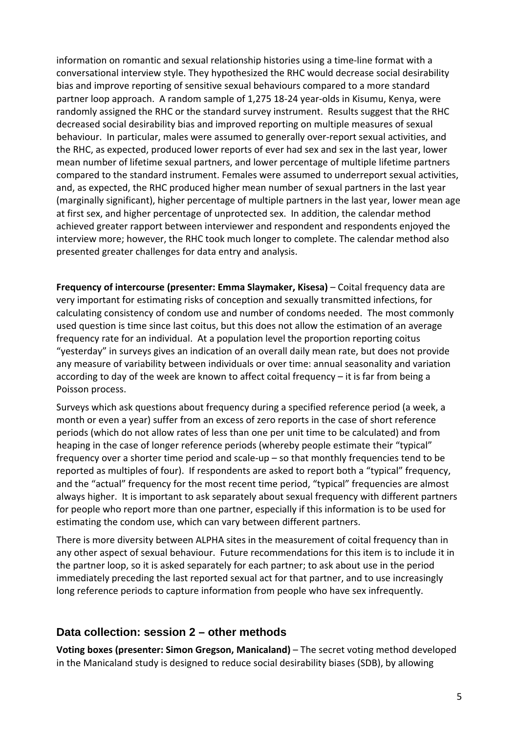information on romantic and sexual relationship histories using a time-line format with a conversational interview style. They hypothesized the RHC would decrease social desirability bias and improve reporting of sensitive sexual behaviours compared to a more standard partner loop approach. A random sample of 1,275 18‐24 year‐olds in Kisumu, Kenya, were randomly assigned the RHC or the standard survey instrument. Results suggest that the RHC decreased social desirability bias and improved reporting on multiple measures of sexual behaviour. In particular, males were assumed to generally over-report sexual activities, and the RHC, as expected, produced lower reports of ever had sex and sex in the last year, lower mean number of lifetime sexual partners, and lower percentage of multiple lifetime partners compared to the standard instrument. Females were assumed to underreport sexual activities, and, as expected, the RHC produced higher mean number of sexual partners in the last year (marginally significant), higher percentage of multiple partners in the last year, lower mean age at first sex, and higher percentage of unprotected sex. In addition, the calendar method achieved greater rapport between interviewer and respondent and respondents enjoyed the interview more; however, the RHC took much longer to complete. The calendar method also presented greater challenges for data entry and analysis.

**Frequency of intercourse (presenter: Emma Slaymaker, Kisesa)** – Coital frequency data are very important for estimating risks of conception and sexually transmitted infections, for calculating consistency of condom use and number of condoms needed. The most commonly used question is time since last coitus, but this does not allow the estimation of an average frequency rate for an individual. At a population level the proportion reporting coitus "yesterday" in surveys gives an indication of an overall daily mean rate, but does not provide any measure of variability between individuals or over time: annual seasonality and variation according to day of the week are known to affect coital frequency – it is far from being a Poisson process.

Surveys which ask questions about frequency during a specified reference period (a week, a month or even a year) suffer from an excess of zero reports in the case of short reference periods (which do not allow rates of less than one per unit time to be calculated) and from heaping in the case of longer reference periods (whereby people estimate their "typical" frequency over a shorter time period and scale‐up – so that monthly frequencies tend to be reported as multiples of four). If respondents are asked to report both a "typical" frequency, and the "actual" frequency for the most recent time period, "typical" frequencies are almost always higher. It is important to ask separately about sexual frequency with different partners for people who report more than one partner, especially if this information is to be used for estimating the condom use, which can vary between different partners.

There is more diversity between ALPHA sites in the measurement of coital frequency than in any other aspect of sexual behaviour. Future recommendations for this item is to include it in the partner loop, so it is asked separately for each partner; to ask about use in the period immediately preceding the last reported sexual act for that partner, and to use increasingly long reference periods to capture information from people who have sex infrequently.

#### **Data collection: session 2 – other methods**

**Voting boxes (presenter: Simon Gregson, Manicaland)** – The secret voting method developed in the Manicaland study is designed to reduce social desirability biases (SDB), by allowing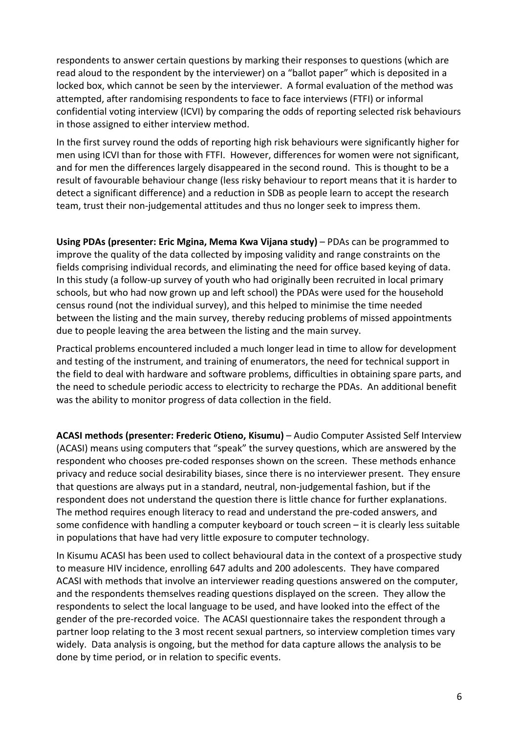respondents to answer certain questions by marking their responses to questions (which are read aloud to the respondent by the interviewer) on a "ballot paper" which is deposited in a locked box, which cannot be seen by the interviewer. A formal evaluation of the method was attempted, after randomising respondents to face to face interviews (FTFI) or informal confidential voting interview (ICVI) by comparing the odds of reporting selected risk behaviours in those assigned to either interview method.

In the first survey round the odds of reporting high risk behaviours were significantly higher for men using ICVI than for those with FTFI. However, differences for women were not significant, and for men the differences largely disappeared in the second round. This is thought to be a result of favourable behaviour change (less risky behaviour to report means that it is harder to detect a significant difference) and a reduction in SDB as people learn to accept the research team, trust their non‐judgemental attitudes and thus no longer seek to impress them.

**Using PDAs (presenter: Eric Mgina, Mema Kwa Vijana study)** – PDAs can be programmed to improve the quality of the data collected by imposing validity and range constraints on the fields comprising individual records, and eliminating the need for office based keying of data. In this study (a follow‐up survey of youth who had originally been recruited in local primary schools, but who had now grown up and left school) the PDAs were used for the household census round (not the individual survey), and this helped to minimise the time needed between the listing and the main survey, thereby reducing problems of missed appointments due to people leaving the area between the listing and the main survey.

Practical problems encountered included a much longer lead in time to allow for development and testing of the instrument, and training of enumerators, the need for technical support in the field to deal with hardware and software problems, difficulties in obtaining spare parts, and the need to schedule periodic access to electricity to recharge the PDAs. An additional benefit was the ability to monitor progress of data collection in the field.

**ACASI methods (presenter: Frederic Otieno, Kisumu)** – Audio Computer Assisted Self Interview (ACASI) means using computers that "speak" the survey questions, which are answered by the respondent who chooses pre‐coded responses shown on the screen. These methods enhance privacy and reduce social desirability biases, since there is no interviewer present. They ensure that questions are always put in a standard, neutral, non‐judgemental fashion, but if the respondent does not understand the question there is little chance for further explanations. The method requires enough literacy to read and understand the pre‐coded answers, and some confidence with handling a computer keyboard or touch screen – it is clearly less suitable in populations that have had very little exposure to computer technology.

In Kisumu ACASI has been used to collect behavioural data in the context of a prospective study to measure HIV incidence, enrolling 647 adults and 200 adolescents. They have compared ACASI with methods that involve an interviewer reading questions answered on the computer, and the respondents themselves reading questions displayed on the screen. They allow the respondents to select the local language to be used, and have looked into the effect of the gender of the pre‐recorded voice. The ACASI questionnaire takes the respondent through a partner loop relating to the 3 most recent sexual partners, so interview completion times vary widely. Data analysis is ongoing, but the method for data capture allows the analysis to be done by time period, or in relation to specific events.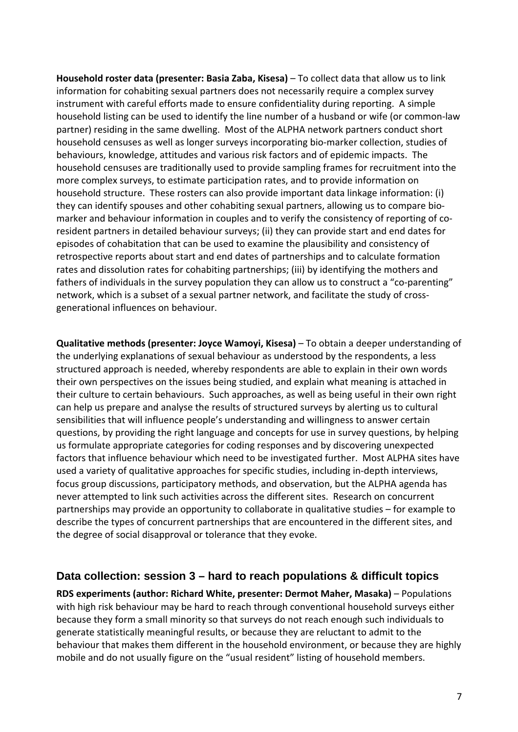**Household roster data (presenter: Basia Zaba, Kisesa)** – To collect data that allow us to link information for cohabiting sexual partners does not necessarily require a complex survey instrument with careful efforts made to ensure confidentiality during reporting. A simple household listing can be used to identify the line number of a husband or wife (or common‐law partner) residing in the same dwelling. Most of the ALPHA network partners conduct short household censuses as well as longer surveys incorporating bio-marker collection, studies of behaviours, knowledge, attitudes and various risk factors and of epidemic impacts. The household censuses are traditionally used to provide sampling frames for recruitment into the more complex surveys, to estimate participation rates, and to provide information on household structure. These rosters can also provide important data linkage information: (i) they can identify spouses and other cohabiting sexual partners, allowing us to compare bio‐ marker and behaviour information in couples and to verify the consistency of reporting of coresident partners in detailed behaviour surveys; (ii) they can provide start and end dates for episodes of cohabitation that can be used to examine the plausibility and consistency of retrospective reports about start and end dates of partnerships and to calculate formation rates and dissolution rates for cohabiting partnerships; (iii) by identifying the mothers and fathers of individuals in the survey population they can allow us to construct a "co-parenting" network, which is a subset of a sexual partner network, and facilitate the study of cross‐ generational influences on behaviour.

**Qualitative methods (presenter: Joyce Wamoyi, Kisesa)** – To obtain a deeper understanding of the underlying explanations of sexual behaviour as understood by the respondents, a less structured approach is needed, whereby respondents are able to explain in their own words their own perspectives on the issues being studied, and explain what meaning is attached in their culture to certain behaviours. Such approaches, as well as being useful in their own right can help us prepare and analyse the results of structured surveys by alerting us to cultural sensibilities that will influence people's understanding and willingness to answer certain questions, by providing the right language and concepts for use in survey questions, by helping us formulate appropriate categories for coding responses and by discovering unexpected factors that influence behaviour which need to be investigated further. Most ALPHA sites have used a variety of qualitative approaches for specific studies, including in‐depth interviews, focus group discussions, participatory methods, and observation, but the ALPHA agenda has never attempted to link such activities across the different sites. Research on concurrent partnerships may provide an opportunity to collaborate in qualitative studies – for example to describe the types of concurrent partnerships that are encountered in the different sites, and the degree of social disapproval or tolerance that they evoke.

#### **Data collection: session 3 – hard to reach populations & difficult topics**

**RDS experiments (author: Richard White, presenter: Dermot Maher, Masaka)** – Populations with high risk behaviour may be hard to reach through conventional household surveys either because they form a small minority so that surveys do not reach enough such individuals to generate statistically meaningful results, or because they are reluctant to admit to the behaviour that makes them different in the household environment, or because they are highly mobile and do not usually figure on the "usual resident" listing of household members.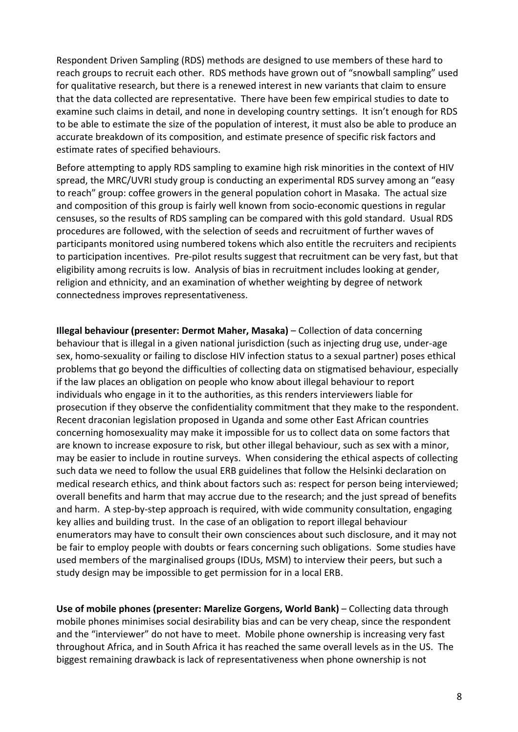Respondent Driven Sampling (RDS) methods are designed to use members of these hard to reach groups to recruit each other. RDS methods have grown out of "snowball sampling" used for qualitative research, but there is a renewed interest in new variants that claim to ensure that the data collected are representative. There have been few empirical studies to date to examine such claims in detail, and none in developing country settings. It isn't enough for RDS to be able to estimate the size of the population of interest, it must also be able to produce an accurate breakdown of its composition, and estimate presence of specific risk factors and estimate rates of specified behaviours.

Before attempting to apply RDS sampling to examine high risk minorities in the context of HIV spread, the MRC/UVRI study group is conducting an experimental RDS survey among an "easy to reach" group: coffee growers in the general population cohort in Masaka. The actual size and composition of this group is fairly well known from socio‐economic questions in regular censuses, so the results of RDS sampling can be compared with this gold standard. Usual RDS procedures are followed, with the selection of seeds and recruitment of further waves of participants monitored using numbered tokens which also entitle the recruiters and recipients to participation incentives. Pre‐pilot results suggest that recruitment can be very fast, but that eligibility among recruits is low. Analysis of bias in recruitment includes looking at gender, religion and ethnicity, and an examination of whether weighting by degree of network connectedness improves representativeness.

**Illegal behaviour (presenter: Dermot Maher, Masaka)** – Collection of data concerning behaviour that is illegal in a given national jurisdiction (such as injecting drug use, under‐age sex, homo-sexuality or failing to disclose HIV infection status to a sexual partner) poses ethical problems that go beyond the difficulties of collecting data on stigmatised behaviour, especially if the law places an obligation on people who know about illegal behaviour to report individuals who engage in it to the authorities, as this renders interviewers liable for prosecution if they observe the confidentiality commitment that they make to the respondent. Recent draconian legislation proposed in Uganda and some other East African countries concerning homosexuality may make it impossible for us to collect data on some factors that are known to increase exposure to risk, but other illegal behaviour, such as sex with a minor, may be easier to include in routine surveys. When considering the ethical aspects of collecting such data we need to follow the usual ERB guidelines that follow the Helsinki declaration on medical research ethics, and think about factors such as: respect for person being interviewed; overall benefits and harm that may accrue due to the research; and the just spread of benefits and harm. A step‐by‐step approach is required, with wide community consultation, engaging key allies and building trust. In the case of an obligation to report illegal behaviour enumerators may have to consult their own consciences about such disclosure, and it may not be fair to employ people with doubts or fears concerning such obligations. Some studies have used members of the marginalised groups (IDUs, MSM) to interview their peers, but such a study design may be impossible to get permission for in a local ERB.

**Use of mobile phones (presenter: Marelize Gorgens, World Bank)** – Collecting data through mobile phones minimises social desirability bias and can be very cheap, since the respondent and the "interviewer" do not have to meet. Mobile phone ownership is increasing very fast throughout Africa, and in South Africa it has reached the same overall levels as in the US. The biggest remaining drawback is lack of representativeness when phone ownership is not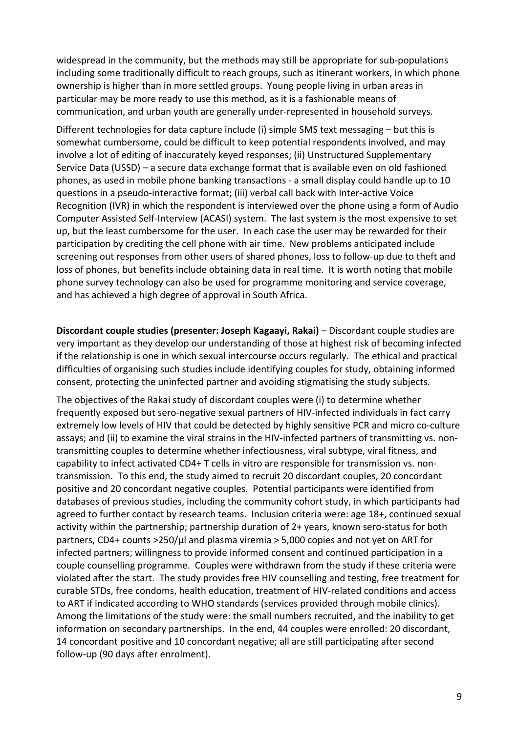widespread in the community, but the methods may still be appropriate for sub-populations including some traditionally difficult to reach groups, such as itinerant workers, in which phone ownership is higher than in more settled groups. Young people living in urban areas in particular may be more ready to use this method, as it is a fashionable means of communication, and urban youth are generally under‐represented in household surveys.

Different technologies for data capture include (i) simple SMS text messaging – but this is somewhat cumbersome, could be difficult to keep potential respondents involved, and may involve a lot of editing of inaccurately keyed responses; (ii) Unstructured Supplementary Service Data (USSD) – a secure data exchange format that is available even on old fashioned phones, as used in mobile phone banking transactions ‐ a small display could handle up to 10 questions in a pseudo‐interactive format; (iii) verbal call back with Inter‐active Voice Recognition (IVR) in which the respondent is interviewed over the phone using a form of Audio Computer Assisted Self‐Interview (ACASI) system. The last system is the most expensive to set up, but the least cumbersome for the user. In each case the user may be rewarded for their participation by crediting the cell phone with air time. New problems anticipated include screening out responses from other users of shared phones, loss to follow-up due to theft and loss of phones, but benefits include obtaining data in real time. It is worth noting that mobile phone survey technology can also be used for programme monitoring and service coverage, and has achieved a high degree of approval in South Africa.

**Discordant couple studies (presenter: Joseph Kagaayi, Rakai)** – Discordant couple studies are very important as they develop our understanding of those at highest risk of becoming infected if the relationship is one in which sexual intercourse occurs regularly. The ethical and practical difficulties of organising such studies include identifying couples for study, obtaining informed consent, protecting the uninfected partner and avoiding stigmatising the study subjects.

The objectives of the Rakai study of discordant couples were (i) to determine whether frequently exposed but sero‐negative sexual partners of HIV‐infected individuals in fact carry extremely low levels of HIV that could be detected by highly sensitive PCR and micro co-culture assays; and (ii) to examine the viral strains in the HIV-infected partners of transmitting vs. nontransmitting couples to determine whether infectiousness, viral subtype, viral fitness, and capability to infect activated CD4+ T cells in vitro are responsible for transmission vs. non‐ transmission. To this end, the study aimed to recruit 20 discordant couples, 20 concordant positive and 20 concordant negative couples. Potential participants were identified from databases of previous studies, including the community cohort study, in which participants had agreed to further contact by research teams. Inclusion criteria were: age 18+, continued sexual activity within the partnership; partnership duration of 2+ years, known sero‐status for both partners, CD4+ counts >250/ $\mu$ l and plasma viremia > 5,000 copies and not yet on ART for infected partners; willingness to provide informed consent and continued participation in a couple counselling programme. Couples were withdrawn from the study if these criteria were violated after the start. The study provides free HIV counselling and testing, free treatment for curable STDs, free condoms, health education, treatment of HIV‐related conditions and access to ART if indicated according to WHO standards (services provided through mobile clinics). Among the limitations of the study were: the small numbers recruited, and the inability to get information on secondary partnerships. In the end, 44 couples were enrolled: 20 discordant, 14 concordant positive and 10 concordant negative; all are still participating after second follow‐up (90 days after enrolment).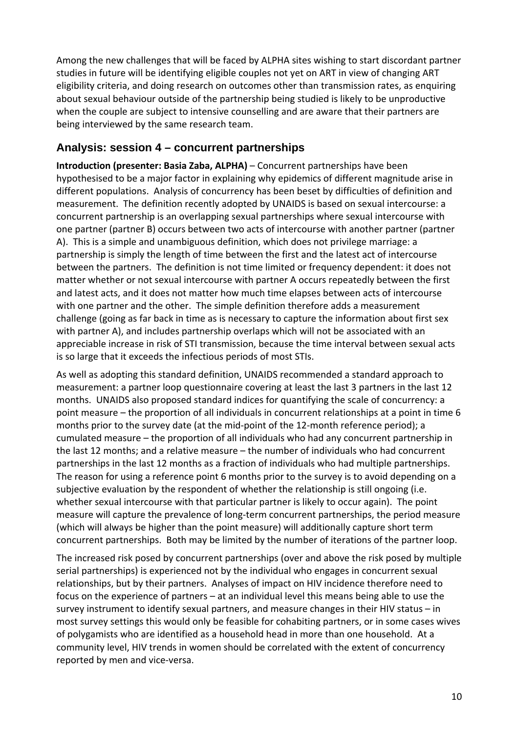Among the new challenges that will be faced by ALPHA sites wishing to start discordant partner studies in future will be identifying eligible couples not yet on ART in view of changing ART eligibility criteria, and doing research on outcomes other than transmission rates, as enquiring about sexual behaviour outside of the partnership being studied is likely to be unproductive when the couple are subject to intensive counselling and are aware that their partners are being interviewed by the same research team.

#### **Analysis: session 4 – concurrent partnerships**

**Introduction (presenter: Basia Zaba, ALPHA)** – Concurrent partnerships have been hypothesised to be a major factor in explaining why epidemics of different magnitude arise in different populations. Analysis of concurrency has been beset by difficulties of definition and measurement. The definition recently adopted by UNAIDS is based on sexual intercourse: a concurrent partnership is an overlapping sexual partnerships where sexual intercourse with one partner (partner B) occurs between two acts of intercourse with another partner (partner A). This is a simple and unambiguous definition, which does not privilege marriage: a partnership is simply the length of time between the first and the latest act of intercourse between the partners. The definition is not time limited or frequency dependent: it does not matter whether or not sexual intercourse with partner A occurs repeatedly between the first and latest acts, and it does not matter how much time elapses between acts of intercourse with one partner and the other. The simple definition therefore adds a measurement challenge (going as far back in time as is necessary to capture the information about first sex with partner A), and includes partnership overlaps which will not be associated with an appreciable increase in risk of STI transmission, because the time interval between sexual acts is so large that it exceeds the infectious periods of most STIs.

As well as adopting this standard definition, UNAIDS recommended a standard approach to measurement: a partner loop questionnaire covering at least the last 3 partners in the last 12 months. UNAIDS also proposed standard indices for quantifying the scale of concurrency: a point measure – the proportion of all individuals in concurrent relationships at a point in time 6 months prior to the survey date (at the mid‐point of the 12‐month reference period); a cumulated measure – the proportion of all individuals who had any concurrent partnership in the last 12 months; and a relative measure – the number of individuals who had concurrent partnerships in the last 12 months as a fraction of individuals who had multiple partnerships. The reason for using a reference point 6 months prior to the survey is to avoid depending on a subjective evaluation by the respondent of whether the relationship is still ongoing (i.e. whether sexual intercourse with that particular partner is likely to occur again). The point measure will capture the prevalence of long‐term concurrent partnerships, the period measure (which will always be higher than the point measure) will additionally capture short term concurrent partnerships. Both may be limited by the number of iterations of the partner loop.

The increased risk posed by concurrent partnerships (over and above the risk posed by multiple serial partnerships) is experienced not by the individual who engages in concurrent sexual relationships, but by their partners. Analyses of impact on HIV incidence therefore need to focus on the experience of partners – at an individual level this means being able to use the survey instrument to identify sexual partners, and measure changes in their HIV status – in most survey settings this would only be feasible for cohabiting partners, or in some cases wives of polygamists who are identified as a household head in more than one household. At a community level, HIV trends in women should be correlated with the extent of concurrency reported by men and vice-versa.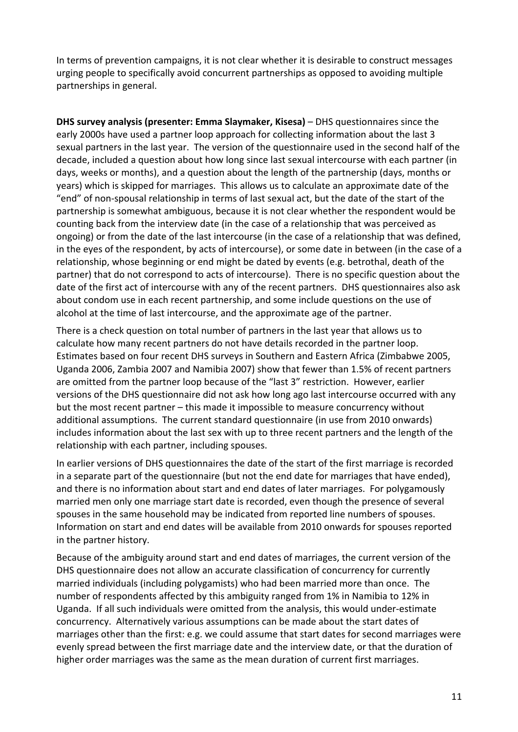In terms of prevention campaigns, it is not clear whether it is desirable to construct messages urging people to specifically avoid concurrent partnerships as opposed to avoiding multiple partnerships in general.

**DHS survey analysis (presenter: Emma Slaymaker, Kisesa)** – DHS questionnaires since the early 2000s have used a partner loop approach for collecting information about the last 3 sexual partners in the last year. The version of the questionnaire used in the second half of the decade, included a question about how long since last sexual intercourse with each partner (in days, weeks or months), and a question about the length of the partnership (days, months or years) which is skipped for marriages. This allows us to calculate an approximate date of the "end" of non‐spousal relationship in terms of last sexual act, but the date of the start of the partnership is somewhat ambiguous, because it is not clear whether the respondent would be counting back from the interview date (in the case of a relationship that was perceived as ongoing) or from the date of the last intercourse (in the case of a relationship that was defined, in the eyes of the respondent, by acts of intercourse), or some date in between (in the case of a relationship, whose beginning or end might be dated by events (e.g. betrothal, death of the partner) that do not correspond to acts of intercourse). There is no specific question about the date of the first act of intercourse with any of the recent partners. DHS questionnaires also ask about condom use in each recent partnership, and some include questions on the use of alcohol at the time of last intercourse, and the approximate age of the partner.

There is a check question on total number of partners in the last year that allows us to calculate how many recent partners do not have details recorded in the partner loop. Estimates based on four recent DHS surveys in Southern and Eastern Africa (Zimbabwe 2005, Uganda 2006, Zambia 2007 and Namibia 2007) show that fewer than 1.5% of recent partners are omitted from the partner loop because of the "last 3" restriction. However, earlier versions of the DHS questionnaire did not ask how long ago last intercourse occurred with any but the most recent partner – this made it impossible to measure concurrency without additional assumptions. The current standard questionnaire (in use from 2010 onwards) includes information about the last sex with up to three recent partners and the length of the relationship with each partner, including spouses.

In earlier versions of DHS questionnaires the date of the start of the first marriage is recorded in a separate part of the questionnaire (but not the end date for marriages that have ended), and there is no information about start and end dates of later marriages. For polygamously married men only one marriage start date is recorded, even though the presence of several spouses in the same household may be indicated from reported line numbers of spouses. Information on start and end dates will be available from 2010 onwards for spouses reported in the partner history.

Because of the ambiguity around start and end dates of marriages, the current version of the DHS questionnaire does not allow an accurate classification of concurrency for currently married individuals (including polygamists) who had been married more than once. The number of respondents affected by this ambiguity ranged from 1% in Namibia to 12% in Uganda. If all such individuals were omitted from the analysis, this would under‐estimate concurrency. Alternatively various assumptions can be made about the start dates of marriages other than the first: e.g. we could assume that start dates for second marriages were evenly spread between the first marriage date and the interview date, or that the duration of higher order marriages was the same as the mean duration of current first marriages.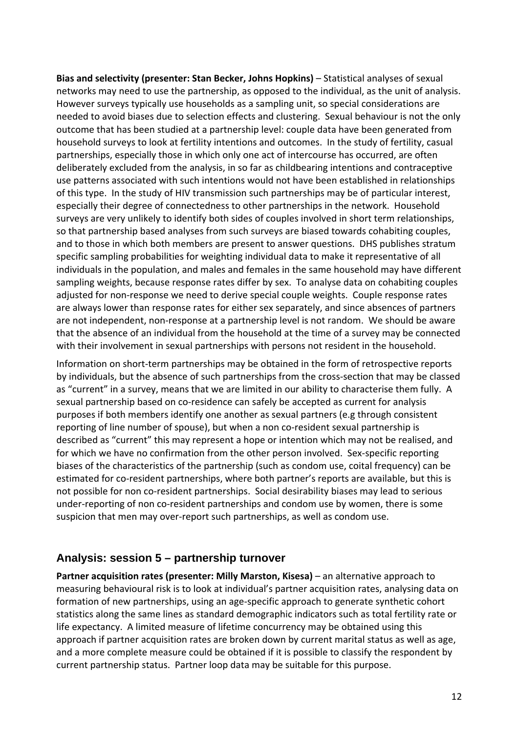**Bias and selectivity (presenter: Stan Becker, Johns Hopkins)** – Statistical analyses of sexual networks may need to use the partnership, as opposed to the individual, as the unit of analysis. However surveys typically use households as a sampling unit, so special considerations are needed to avoid biases due to selection effects and clustering. Sexual behaviour is not the only outcome that has been studied at a partnership level: couple data have been generated from household surveys to look at fertility intentions and outcomes. In the study of fertility, casual partnerships, especially those in which only one act of intercourse has occurred, are often deliberately excluded from the analysis, in so far as childbearing intentions and contraceptive use patterns associated with such intentions would not have been established in relationships of this type. In the study of HIV transmission such partnerships may be of particular interest, especially their degree of connectedness to other partnerships in the network. Household surveys are very unlikely to identify both sides of couples involved in short term relationships, so that partnership based analyses from such surveys are biased towards cohabiting couples, and to those in which both members are present to answer questions. DHS publishes stratum specific sampling probabilities for weighting individual data to make it representative of all individuals in the population, and males and females in the same household may have different sampling weights, because response rates differ by sex. To analyse data on cohabiting couples adjusted for non‐response we need to derive special couple weights. Couple response rates are always lower than response rates for either sex separately, and since absences of partners are not independent, non‐response at a partnership level is not random. We should be aware that the absence of an individual from the household at the time of a survey may be connected with their involvement in sexual partnerships with persons not resident in the household.

Information on short‐term partnerships may be obtained in the form of retrospective reports by individuals, but the absence of such partnerships from the cross‐section that may be classed as "current" in a survey, means that we are limited in our ability to characterise them fully. A sexual partnership based on co‐residence can safely be accepted as current for analysis purposes if both members identify one another as sexual partners (e.g through consistent reporting of line number of spouse), but when a non co-resident sexual partnership is described as "current" this may represent a hope or intention which may not be realised, and for which we have no confirmation from the other person involved. Sex-specific reporting biases of the characteristics of the partnership (such as condom use, coital frequency) can be estimated for co-resident partnerships, where both partner's reports are available, but this is not possible for non co-resident partnerships. Social desirability biases may lead to serious under‐reporting of non co‐resident partnerships and condom use by women, there is some suspicion that men may over‐report such partnerships, as well as condom use.

#### **Analysis: session 5 – partnership turnover**

**Partner acquisition rates (presenter: Milly Marston, Kisesa)** – an alternative approach to measuring behavioural risk is to look at individual's partner acquisition rates, analysing data on formation of new partnerships, using an age‐specific approach to generate synthetic cohort statistics along the same lines as standard demographic indicators such as total fertility rate or life expectancy. A limited measure of lifetime concurrency may be obtained using this approach if partner acquisition rates are broken down by current marital status as well as age, and a more complete measure could be obtained if it is possible to classify the respondent by current partnership status. Partner loop data may be suitable for this purpose.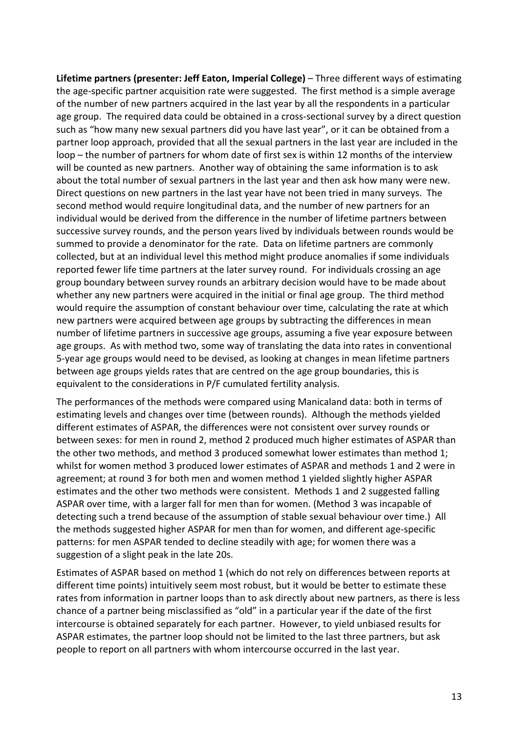**Lifetime partners (presenter: Jeff Eaton, Imperial College)** – Three different ways of estimating the age‐specific partner acquisition rate were suggested. The first method is a simple average of the number of new partners acquired in the last year by all the respondents in a particular age group. The required data could be obtained in a cross‐sectional survey by a direct question such as "how many new sexual partners did you have last year", or it can be obtained from a partner loop approach, provided that all the sexual partners in the last year are included in the loop – the number of partners for whom date of first sex is within 12 months of the interview will be counted as new partners. Another way of obtaining the same information is to ask about the total number of sexual partners in the last year and then ask how many were new. Direct questions on new partners in the last year have not been tried in many surveys. The second method would require longitudinal data, and the number of new partners for an individual would be derived from the difference in the number of lifetime partners between successive survey rounds, and the person years lived by individuals between rounds would be summed to provide a denominator for the rate. Data on lifetime partners are commonly collected, but at an individual level this method might produce anomalies if some individuals reported fewer life time partners at the later survey round. For individuals crossing an age group boundary between survey rounds an arbitrary decision would have to be made about whether any new partners were acquired in the initial or final age group. The third method would require the assumption of constant behaviour over time, calculating the rate at which new partners were acquired between age groups by subtracting the differences in mean number of lifetime partners in successive age groups, assuming a five year exposure between age groups. As with method two, some way of translating the data into rates in conventional 5‐year age groups would need to be devised, as looking at changes in mean lifetime partners between age groups yields rates that are centred on the age group boundaries, this is equivalent to the considerations in P/F cumulated fertility analysis.

The performances of the methods were compared using Manicaland data: both in terms of estimating levels and changes over time (between rounds). Although the methods yielded different estimates of ASPAR, the differences were not consistent over survey rounds or between sexes: for men in round 2, method 2 produced much higher estimates of ASPAR than the other two methods, and method 3 produced somewhat lower estimates than method 1; whilst for women method 3 produced lower estimates of ASPAR and methods 1 and 2 were in agreement; at round 3 for both men and women method 1 yielded slightly higher ASPAR estimates and the other two methods were consistent. Methods 1 and 2 suggested falling ASPAR over time, with a larger fall for men than for women. (Method 3 was incapable of detecting such a trend because of the assumption of stable sexual behaviour over time.) All the methods suggested higher ASPAR for men than for women, and different age‐specific patterns: for men ASPAR tended to decline steadily with age; for women there was a suggestion of a slight peak in the late 20s.

Estimates of ASPAR based on method 1 (which do not rely on differences between reports at different time points) intuitively seem most robust, but it would be better to estimate these rates from information in partner loops than to ask directly about new partners, as there is less chance of a partner being misclassified as "old" in a particular year if the date of the first intercourse is obtained separately for each partner. However, to yield unbiased results for ASPAR estimates, the partner loop should not be limited to the last three partners, but ask people to report on all partners with whom intercourse occurred in the last year.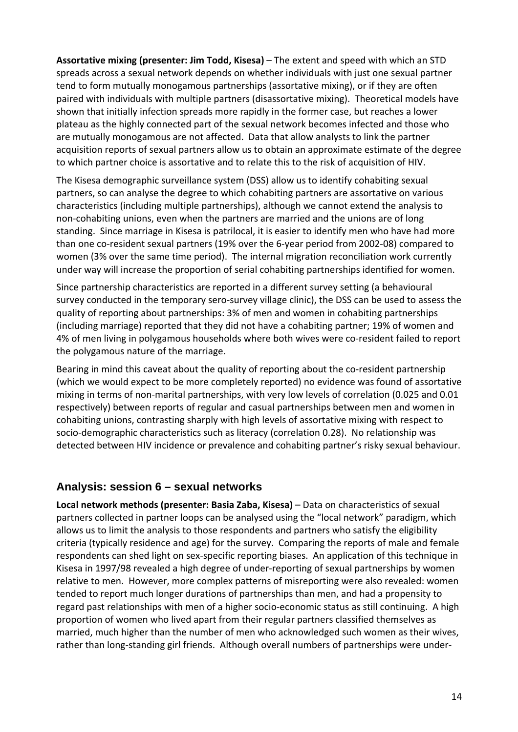**Assortative mixing (presenter: Jim Todd, Kisesa)** – The extent and speed with which an STD spreads across a sexual network depends on whether individuals with just one sexual partner tend to form mutually monogamous partnerships (assortative mixing), or if they are often paired with individuals with multiple partners (disassortative mixing). Theoretical models have shown that initially infection spreads more rapidly in the former case, but reaches a lower plateau as the highly connected part of the sexual network becomes infected and those who are mutually monogamous are not affected. Data that allow analysts to link the partner acquisition reports of sexual partners allow us to obtain an approximate estimate of the degree to which partner choice is assortative and to relate this to the risk of acquisition of HIV.

The Kisesa demographic surveillance system (DSS) allow us to identify cohabiting sexual partners, so can analyse the degree to which cohabiting partners are assortative on various characteristics (including multiple partnerships), although we cannot extend the analysis to non‐cohabiting unions, even when the partners are married and the unions are of long standing. Since marriage in Kisesa is patrilocal, it is easier to identify men who have had more than one co‐resident sexual partners (19% over the 6‐year period from 2002‐08) compared to women (3% over the same time period). The internal migration reconciliation work currently under way will increase the proportion of serial cohabiting partnerships identified for women.

Since partnership characteristics are reported in a different survey setting (a behavioural survey conducted in the temporary sero-survey village clinic), the DSS can be used to assess the quality of reporting about partnerships: 3% of men and women in cohabiting partnerships (including marriage) reported that they did not have a cohabiting partner; 19% of women and 4% of men living in polygamous households where both wives were co-resident failed to report the polygamous nature of the marriage.

Bearing in mind this caveat about the quality of reporting about the co-resident partnership (which we would expect to be more completely reported) no evidence was found of assortative mixing in terms of non‐marital partnerships, with very low levels of correlation (0.025 and 0.01 respectively) between reports of regular and casual partnerships between men and women in cohabiting unions, contrasting sharply with high levels of assortative mixing with respect to socio-demographic characteristics such as literacy (correlation 0.28). No relationship was detected between HIV incidence or prevalence and cohabiting partner's risky sexual behaviour.

#### **Analysis: session 6 – sexual networks**

**Local network methods (presenter: Basia Zaba, Kisesa)** – Data on characteristics of sexual partners collected in partner loops can be analysed using the "local network" paradigm, which allows us to limit the analysis to those respondents and partners who satisfy the eligibility criteria (typically residence and age) for the survey. Comparing the reports of male and female respondents can shed light on sex-specific reporting biases. An application of this technique in Kisesa in 1997/98 revealed a high degree of under‐reporting of sexual partnerships by women relative to men. However, more complex patterns of misreporting were also revealed: women tended to report much longer durations of partnerships than men, and had a propensity to regard past relationships with men of a higher socio‐economic status as still continuing. A high proportion of women who lived apart from their regular partners classified themselves as married, much higher than the number of men who acknowledged such women as their wives, rather than long‐standing girl friends. Although overall numbers of partnerships were under‐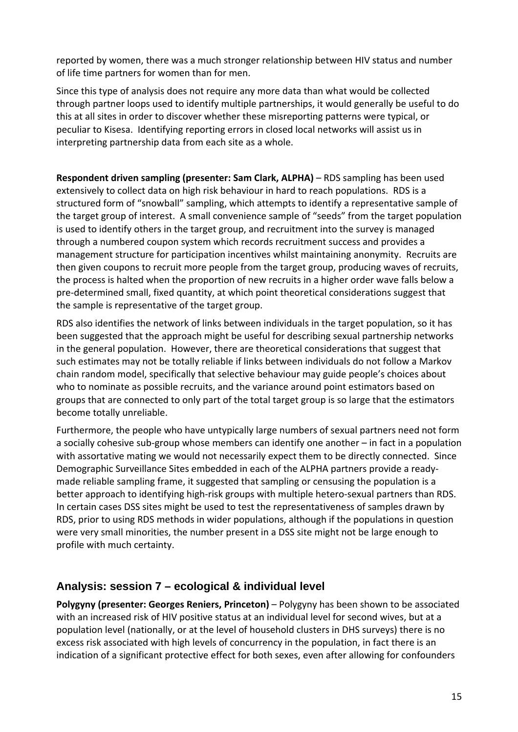reported by women, there was a much stronger relationship between HIV status and number of life time partners for women than for men.

Since this type of analysis does not require any more data than what would be collected through partner loops used to identify multiple partnerships, it would generally be useful to do this at all sites in order to discover whether these misreporting patterns were typical, or peculiar to Kisesa. Identifying reporting errors in closed local networks will assist us in interpreting partnership data from each site as a whole.

**Respondent driven sampling (presenter: Sam Clark, ALPHA)** – RDS sampling has been used extensively to collect data on high risk behaviour in hard to reach populations. RDS is a structured form of "snowball" sampling, which attempts to identify a representative sample of the target group of interest. A small convenience sample of "seeds" from the target population is used to identify others in the target group, and recruitment into the survey is managed through a numbered coupon system which records recruitment success and provides a management structure for participation incentives whilst maintaining anonymity. Recruits are then given coupons to recruit more people from the target group, producing waves of recruits, the process is halted when the proportion of new recruits in a higher order wave falls below a pre‐determined small, fixed quantity, at which point theoretical considerations suggest that the sample is representative of the target group.

RDS also identifies the network of links between individuals in the target population, so it has been suggested that the approach might be useful for describing sexual partnership networks in the general population. However, there are theoretical considerations that suggest that such estimates may not be totally reliable if links between individuals do not follow a Markov chain random model, specifically that selective behaviour may guide people's choices about who to nominate as possible recruits, and the variance around point estimators based on groups that are connected to only part of the total target group is so large that the estimators become totally unreliable.

Furthermore, the people who have untypically large numbers of sexual partners need not form a socially cohesive sub‐group whose members can identify one another – in fact in a population with assortative mating we would not necessarily expect them to be directly connected. Since Demographic Surveillance Sites embedded in each of the ALPHA partners provide a ready‐ made reliable sampling frame, it suggested that sampling or censusing the population is a better approach to identifying high‐risk groups with multiple hetero‐sexual partners than RDS. In certain cases DSS sites might be used to test the representativeness of samples drawn by RDS, prior to using RDS methods in wider populations, although if the populations in question were very small minorities, the number present in a DSS site might not be large enough to profile with much certainty.

#### **Analysis: session 7 – ecological & individual level**

**Polygyny (presenter: Georges Reniers, Princeton)** – Polygyny has been shown to be associated with an increased risk of HIV positive status at an individual level for second wives, but at a population level (nationally, or at the level of household clusters in DHS surveys) there is no excess risk associated with high levels of concurrency in the population, in fact there is an indication of a significant protective effect for both sexes, even after allowing for confounders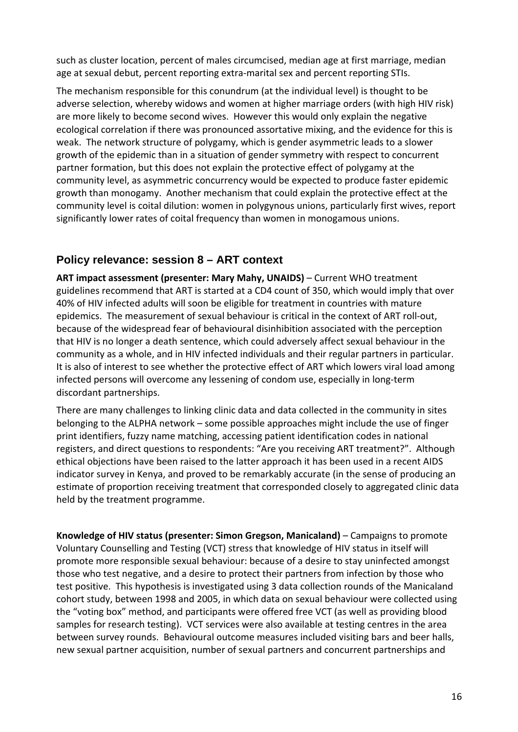such as cluster location, percent of males circumcised, median age at first marriage, median age at sexual debut, percent reporting extra‐marital sex and percent reporting STIs.

The mechanism responsible for this conundrum (at the individual level) is thought to be adverse selection, whereby widows and women at higher marriage orders (with high HIV risk) are more likely to become second wives. However this would only explain the negative ecological correlation if there was pronounced assortative mixing, and the evidence for this is weak. The network structure of polygamy, which is gender asymmetric leads to a slower growth of the epidemic than in a situation of gender symmetry with respect to concurrent partner formation, but this does not explain the protective effect of polygamy at the community level, as asymmetric concurrency would be expected to produce faster epidemic growth than monogamy. Another mechanism that could explain the protective effect at the community level is coital dilution: women in polygynous unions, particularly first wives, report significantly lower rates of coital frequency than women in monogamous unions.

#### **Policy relevance: session 8 – ART context**

**ART impact assessment (presenter: Mary Mahy, UNAIDS)** – Current WHO treatment guidelines recommend that ART is started at a CD4 count of 350, which would imply that over 40% of HIV infected adults will soon be eligible for treatment in countries with mature epidemics. The measurement of sexual behaviour is critical in the context of ART roll‐out, because of the widespread fear of behavioural disinhibition associated with the perception that HIV is no longer a death sentence, which could adversely affect sexual behaviour in the community as a whole, and in HIV infected individuals and their regular partners in particular. It is also of interest to see whether the protective effect of ART which lowers viral load among infected persons will overcome any lessening of condom use, especially in long‐term discordant partnerships.

There are many challenges to linking clinic data and data collected in the community in sites belonging to the ALPHA network – some possible approaches might include the use of finger print identifiers, fuzzy name matching, accessing patient identification codes in national registers, and direct questions to respondents: "Are you receiving ART treatment?". Although ethical objections have been raised to the latter approach it has been used in a recent AIDS indicator survey in Kenya, and proved to be remarkably accurate (in the sense of producing an estimate of proportion receiving treatment that corresponded closely to aggregated clinic data held by the treatment programme.

**Knowledge of HIV status (presenter: Simon Gregson, Manicaland)** – Campaigns to promote Voluntary Counselling and Testing (VCT) stress that knowledge of HIV status in itself will promote more responsible sexual behaviour: because of a desire to stay uninfected amongst those who test negative, and a desire to protect their partners from infection by those who test positive. This hypothesis is investigated using 3 data collection rounds of the Manicaland cohort study, between 1998 and 2005, in which data on sexual behaviour were collected using the "voting box" method, and participants were offered free VCT (as well as providing blood samples for research testing). VCT services were also available at testing centres in the area between survey rounds. Behavioural outcome measures included visiting bars and beer halls, new sexual partner acquisition, number of sexual partners and concurrent partnerships and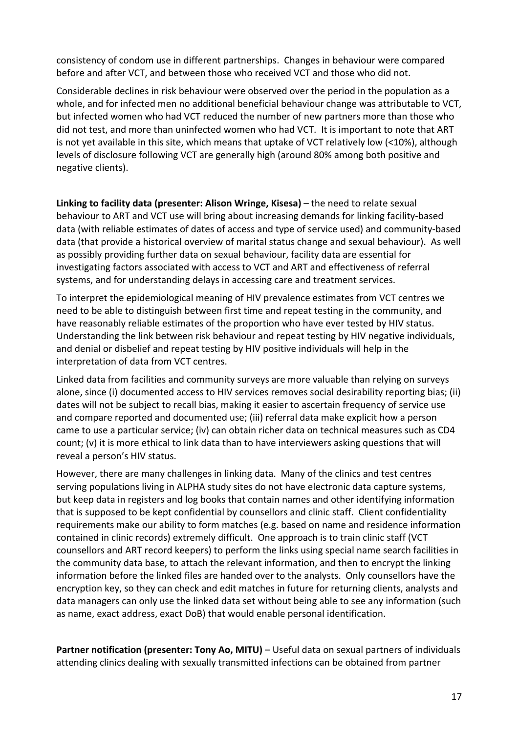consistency of condom use in different partnerships. Changes in behaviour were compared before and after VCT, and between those who received VCT and those who did not.

Considerable declines in risk behaviour were observed over the period in the population as a whole, and for infected men no additional beneficial behaviour change was attributable to VCT, but infected women who had VCT reduced the number of new partners more than those who did not test, and more than uninfected women who had VCT. It is important to note that ART is not yet available in this site, which means that uptake of VCT relatively low (<10%), although levels of disclosure following VCT are generally high (around 80% among both positive and negative clients).

**Linking to facility data (presenter: Alison Wringe, Kisesa)** – the need to relate sexual behaviour to ART and VCT use will bring about increasing demands for linking facility‐based data (with reliable estimates of dates of access and type of service used) and community‐based data (that provide a historical overview of marital status change and sexual behaviour). As well as possibly providing further data on sexual behaviour, facility data are essential for investigating factors associated with access to VCT and ART and effectiveness of referral systems, and for understanding delays in accessing care and treatment services.

To interpret the epidemiological meaning of HIV prevalence estimates from VCT centres we need to be able to distinguish between first time and repeat testing in the community, and have reasonably reliable estimates of the proportion who have ever tested by HIV status. Understanding the link between risk behaviour and repeat testing by HIV negative individuals, and denial or disbelief and repeat testing by HIV positive individuals will help in the interpretation of data from VCT centres.

Linked data from facilities and community surveys are more valuable than relying on surveys alone, since (i) documented access to HIV services removes social desirability reporting bias; (ii) dates will not be subject to recall bias, making it easier to ascertain frequency of service use and compare reported and documented use; (iii) referral data make explicit how a person came to use a particular service; (iv) can obtain richer data on technical measures such as CD4 count; (v) it is more ethical to link data than to have interviewers asking questions that will reveal a person's HIV status.

However, there are many challenges in linking data. Many of the clinics and test centres serving populations living in ALPHA study sites do not have electronic data capture systems, but keep data in registers and log books that contain names and other identifying information that is supposed to be kept confidential by counsellors and clinic staff. Client confidentiality requirements make our ability to form matches (e.g. based on name and residence information contained in clinic records) extremely difficult. One approach is to train clinic staff (VCT counsellors and ART record keepers) to perform the links using special name search facilities in the community data base, to attach the relevant information, and then to encrypt the linking information before the linked files are handed over to the analysts. Only counsellors have the encryption key, so they can check and edit matches in future for returning clients, analysts and data managers can only use the linked data set without being able to see any information (such as name, exact address, exact DoB) that would enable personal identification.

**Partner notification (presenter: Tony Ao, MITU)** – Useful data on sexual partners of individuals attending clinics dealing with sexually transmitted infections can be obtained from partner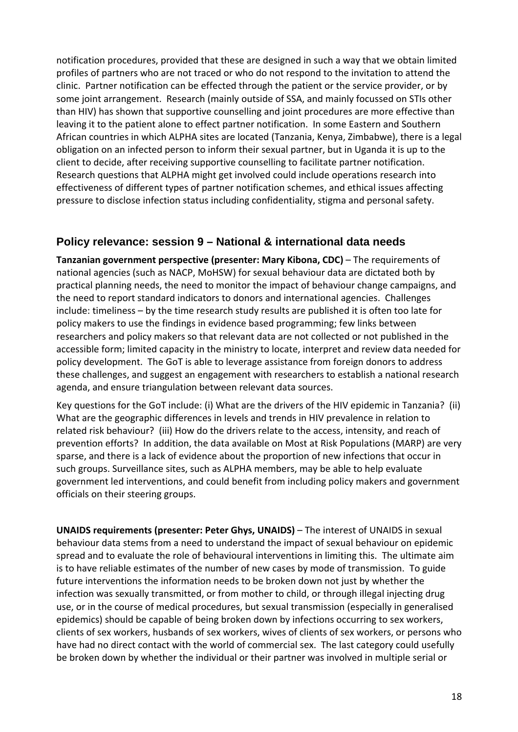notification procedures, provided that these are designed in such a way that we obtain limited profiles of partners who are not traced or who do not respond to the invitation to attend the clinic. Partner notification can be effected through the patient or the service provider, or by some joint arrangement. Research (mainly outside of SSA, and mainly focussed on STIs other than HIV) has shown that supportive counselling and joint procedures are more effective than leaving it to the patient alone to effect partner notification. In some Eastern and Southern African countries in which ALPHA sites are located (Tanzania, Kenya, Zimbabwe), there is a legal obligation on an infected person to inform their sexual partner, but in Uganda it is up to the client to decide, after receiving supportive counselling to facilitate partner notification. Research questions that ALPHA might get involved could include operations research into effectiveness of different types of partner notification schemes, and ethical issues affecting pressure to disclose infection status including confidentiality, stigma and personal safety.

#### **Policy relevance: session 9 – National & international data needs**

**Tanzanian government perspective (presenter: Mary Kibona, CDC)** – The requirements of national agencies (such as NACP, MoHSW) for sexual behaviour data are dictated both by practical planning needs, the need to monitor the impact of behaviour change campaigns, and the need to report standard indicators to donors and international agencies. Challenges include: timeliness – by the time research study results are published it is often too late for policy makers to use the findings in evidence based programming; few links between researchers and policy makers so that relevant data are not collected or not published in the accessible form; limited capacity in the ministry to locate, interpret and review data needed for policy development. The GoT is able to leverage assistance from foreign donors to address these challenges, and suggest an engagement with researchers to establish a national research agenda, and ensure triangulation between relevant data sources.

Key questions for the GoT include: (i) What are the drivers of the HIV epidemic in Tanzania? (ii) What are the geographic differences in levels and trends in HIV prevalence in relation to related risk behaviour? (iii) How do the drivers relate to the access, intensity, and reach of prevention efforts? In addition, the data available on Most at Risk Populations (MARP) are very sparse, and there is a lack of evidence about the proportion of new infections that occur in such groups. Surveillance sites, such as ALPHA members, may be able to help evaluate government led interventions, and could benefit from including policy makers and government officials on their steering groups.

**UNAIDS requirements (presenter: Peter Ghys, UNAIDS)** – The interest of UNAIDS in sexual behaviour data stems from a need to understand the impact of sexual behaviour on epidemic spread and to evaluate the role of behavioural interventions in limiting this. The ultimate aim is to have reliable estimates of the number of new cases by mode of transmission. To guide future interventions the information needs to be broken down not just by whether the infection was sexually transmitted, or from mother to child, or through illegal injecting drug use, or in the course of medical procedures, but sexual transmission (especially in generalised epidemics) should be capable of being broken down by infections occurring to sex workers, clients of sex workers, husbands of sex workers, wives of clients of sex workers, or persons who have had no direct contact with the world of commercial sex. The last category could usefully be broken down by whether the individual or their partner was involved in multiple serial or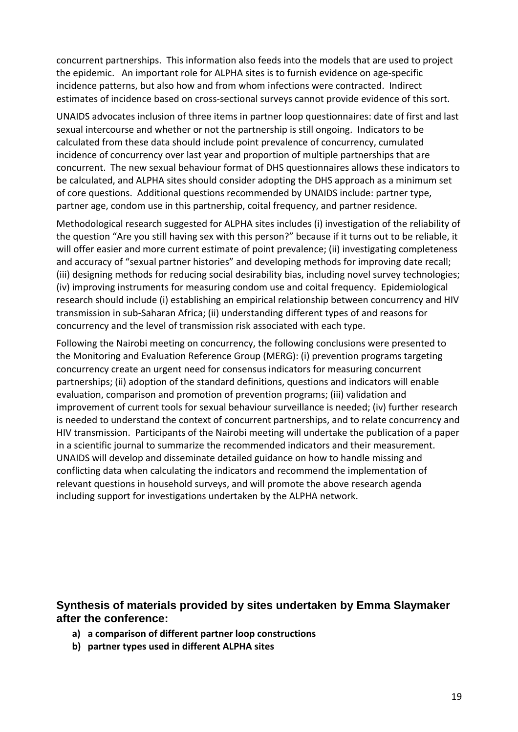concurrent partnerships. This information also feeds into the models that are used to project the epidemic. An important role for ALPHA sites is to furnish evidence on age‐specific incidence patterns, but also how and from whom infections were contracted. Indirect estimates of incidence based on cross-sectional surveys cannot provide evidence of this sort.

UNAIDS advocates inclusion of three items in partner loop questionnaires: date of first and last sexual intercourse and whether or not the partnership is still ongoing. Indicators to be calculated from these data should include point prevalence of concurrency, cumulated incidence of concurrency over last year and proportion of multiple partnerships that are concurrent. The new sexual behaviour format of DHS questionnaires allows these indicators to be calculated, and ALPHA sites should consider adopting the DHS approach as a minimum set of core questions. Additional questions recommended by UNAIDS include: partner type, partner age, condom use in this partnership, coital frequency, and partner residence.

Methodological research suggested for ALPHA sites includes (i) investigation of the reliability of the question "Are you still having sex with this person?" because if it turns out to be reliable, it will offer easier and more current estimate of point prevalence; (ii) investigating completeness and accuracy of "sexual partner histories" and developing methods for improving date recall; (iii) designing methods for reducing social desirability bias, including novel survey technologies; (iv) improving instruments for measuring condom use and coital frequency. Epidemiological research should include (i) establishing an empirical relationship between concurrency and HIV transmission in sub‐Saharan Africa; (ii) understanding different types of and reasons for concurrency and the level of transmission risk associated with each type.

Following the Nairobi meeting on concurrency, the following conclusions were presented to the Monitoring and Evaluation Reference Group (MERG): (i) prevention programs targeting concurrency create an urgent need for consensus indicators for measuring concurrent partnerships; (ii) adoption of the standard definitions, questions and indicators will enable evaluation, comparison and promotion of prevention programs; (iii) validation and improvement of current tools for sexual behaviour surveillance is needed; (iv) further research is needed to understand the context of concurrent partnerships, and to relate concurrency and HIV transmission. Participants of the Nairobi meeting will undertake the publication of a paper in a scientific journal to summarize the recommended indicators and their measurement. UNAIDS will develop and disseminate detailed guidance on how to handle missing and conflicting data when calculating the indicators and recommend the implementation of relevant questions in household surveys, and will promote the above research agenda including support for investigations undertaken by the ALPHA network.

#### **Synthesis of materials provided by sites undertaken by Emma Slaymaker after the conference:**

- **a) a comparison of different partner loop constructions**
- **b) partner types used in different ALPHA sites**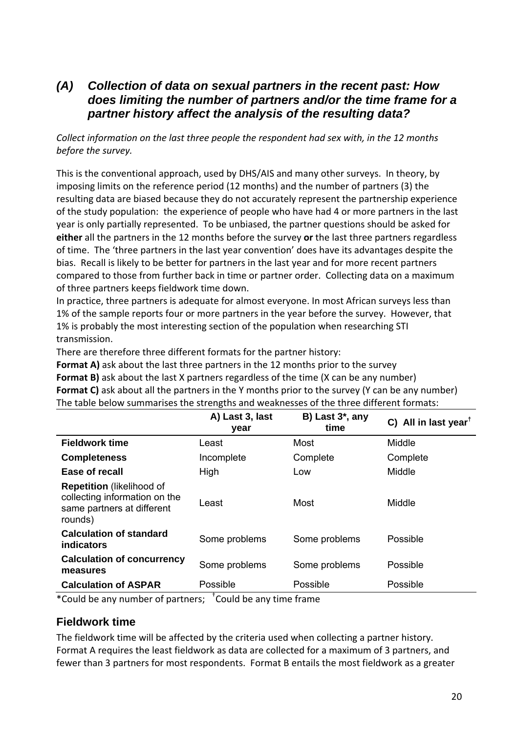#### *(A) Collection of data on sexual partners in the recent past: How does limiting the number of partners and/or the time frame for a partner history affect the analysis of the resulting data?*

*Collect information on the last three people the respondent had sex with, in the 12 months before the survey.*

This is the conventional approach, used by DHS/AIS and many other surveys. In theory, by imposing limits on the reference period (12 months) and the number of partners (3) the resulting data are biased because they do not accurately represent the partnership experience of the study population: the experience of people who have had 4 or more partners in the last year is only partially represented. To be unbiased, the partner questions should be asked for **either** all the partners in the 12 months before the survey **or** the last three partners regardless of time. The 'three partners in the last year convention' does have its advantages despite the bias. Recall is likely to be better for partners in the last year and for more recent partners compared to those from further back in time or partner order. Collecting data on a maximum of three partners keeps fieldwork time down.

In practice, three partners is adequate for almost everyone. In most African surveys less than 1% of the sample reports four or more partners in the year before the survey. However, that 1% is probably the most interesting section of the population when researching STI transmission.

There are therefore three different formats for the partner history:

**Format A)** ask about the last three partners in the 12 months prior to the survey

**Format B)** ask about the last X partners regardless of the time (X can be any number)

**Format C)** ask about all the partners in the Y months prior to the survey (Y can be any number) The table below summarises the strengths and weaknesses of the three different formats:

|                                                                                                            | A) Last 3, last<br>year | B) Last $3^*$ , any<br>time | C) All in last year <sup>t</sup> |
|------------------------------------------------------------------------------------------------------------|-------------------------|-----------------------------|----------------------------------|
| <b>Fieldwork time</b>                                                                                      | Least                   | Most                        | Middle                           |
| <b>Completeness</b>                                                                                        | Incomplete              | Complete                    | Complete                         |
| Ease of recall                                                                                             | High                    | Low                         | Middle                           |
| <b>Repetition</b> (likelihood of<br>collecting information on the<br>same partners at different<br>rounds) | Least                   | Most                        | Middle                           |
| <b>Calculation of standard</b><br><b>indicators</b>                                                        | Some problems           | Some problems               | Possible                         |
| <b>Calculation of concurrency</b><br>measures                                                              | Some problems           | Some problems               | Possible                         |
| <b>Calculation of ASPAR</b>                                                                                | Possible                | Possible                    | Possible                         |
|                                                                                                            | .                       |                             |                                  |

\*Could be any number of partners; † Could be any time frame

#### **Fieldwork time**

The fieldwork time will be affected by the criteria used when collecting a partner history. Format A requires the least fieldwork as data are collected for a maximum of 3 partners, and fewer than 3 partners for most respondents. Format B entails the most fieldwork as a greater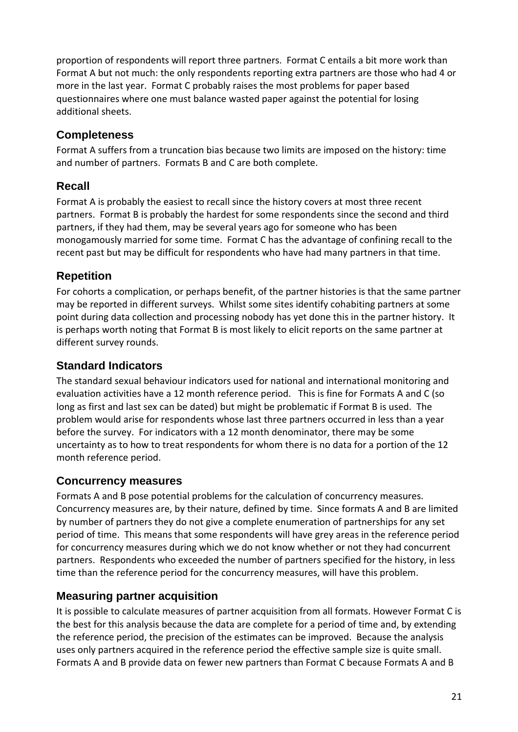proportion of respondents will report three partners. Format C entails a bit more work than Format A but not much: the only respondents reporting extra partners are those who had 4 or more in the last year. Format C probably raises the most problems for paper based questionnaires where one must balance wasted paper against the potential for losing additional sheets.

#### **Completeness**

Format A suffers from a truncation bias because two limits are imposed on the history: time and number of partners. Formats B and C are both complete.

### **Recall**

Format A is probably the easiest to recall since the history covers at most three recent partners. Format B is probably the hardest for some respondents since the second and third partners, if they had them, may be several years ago for someone who has been monogamously married for some time. Format C has the advantage of confining recall to the recent past but may be difficult for respondents who have had many partners in that time.

#### **Repetition**

For cohorts a complication, or perhaps benefit, of the partner histories is that the same partner may be reported in different surveys. Whilst some sites identify cohabiting partners at some point during data collection and processing nobody has yet done this in the partner history. It is perhaps worth noting that Format B is most likely to elicit reports on the same partner at different survey rounds.

#### **Standard Indicators**

The standard sexual behaviour indicators used for national and international monitoring and evaluation activities have a 12 month reference period. This is fine for Formats A and C (so long as first and last sex can be dated) but might be problematic if Format B is used. The problem would arise for respondents whose last three partners occurred in less than a year before the survey. For indicators with a 12 month denominator, there may be some uncertainty as to how to treat respondents for whom there is no data for a portion of the 12 month reference period.

#### **Concurrency measures**

Formats A and B pose potential problems for the calculation of concurrency measures. Concurrency measures are, by their nature, defined by time. Since formats A and B are limited by number of partners they do not give a complete enumeration of partnerships for any set period of time. This means that some respondents will have grey areas in the reference period for concurrency measures during which we do not know whether or not they had concurrent partners. Respondents who exceeded the number of partners specified for the history, in less time than the reference period for the concurrency measures, will have this problem.

#### **Measuring partner acquisition**

It is possible to calculate measures of partner acquisition from all formats. However Format C is the best for this analysis because the data are complete for a period of time and, by extending the reference period, the precision of the estimates can be improved. Because the analysis uses only partners acquired in the reference period the effective sample size is quite small. Formats A and B provide data on fewer new partners than Format C because Formats A and B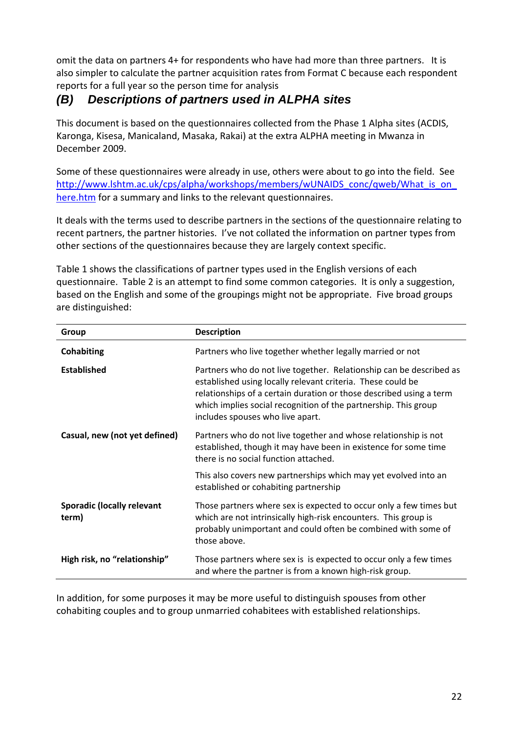omit the data on partners 4+ for respondents who have had more than three partners. It is also simpler to calculate the partner acquisition rates from Format C because each respondent reports for a full year so the person time for analysis

### *(B) Descriptions of partners used in ALPHA sites*

This document is based on the questionnaires collected from the Phase 1 Alpha sites (ACDIS, Karonga, Kisesa, Manicaland, Masaka, Rakai) at the extra ALPHA meeting in Mwanza in December 2009.

Some of these questionnaires were already in use, others were about to go into the field. See http://www.lshtm.ac.uk/cps/alpha/workshops/members/wUNAIDS\_conc/qweb/What\_is\_on\_ here.htm for a summary and links to the relevant questionnaires.

It deals with the terms used to describe partners in the sections of the questionnaire relating to recent partners, the partner histories. I've not collated the information on partner types from other sections of the questionnaires because they are largely context specific.

Table 1 shows the classifications of partner types used in the English versions of each questionnaire. Table 2 is an attempt to find some common categories. It is only a suggestion, based on the English and some of the groupings might not be appropriate. Five broad groups are distinguished:

| Group                                      | <b>Description</b>                                                                                                                                                                                                                                                                                               |
|--------------------------------------------|------------------------------------------------------------------------------------------------------------------------------------------------------------------------------------------------------------------------------------------------------------------------------------------------------------------|
| Cohabiting                                 | Partners who live together whether legally married or not                                                                                                                                                                                                                                                        |
| <b>Established</b>                         | Partners who do not live together. Relationship can be described as<br>established using locally relevant criteria. These could be<br>relationships of a certain duration or those described using a term<br>which implies social recognition of the partnership. This group<br>includes spouses who live apart. |
| Casual, new (not yet defined)              | Partners who do not live together and whose relationship is not<br>established, though it may have been in existence for some time<br>there is no social function attached.                                                                                                                                      |
|                                            | This also covers new partnerships which may yet evolved into an<br>established or cohabiting partnership                                                                                                                                                                                                         |
| <b>Sporadic (locally relevant</b><br>term) | Those partners where sex is expected to occur only a few times but<br>which are not intrinsically high-risk encounters. This group is<br>probably unimportant and could often be combined with some of<br>those above.                                                                                           |
| High risk, no "relationship"               | Those partners where sex is is expected to occur only a few times<br>and where the partner is from a known high-risk group.                                                                                                                                                                                      |

In addition, for some purposes it may be more useful to distinguish spouses from other cohabiting couples and to group unmarried cohabitees with established relationships.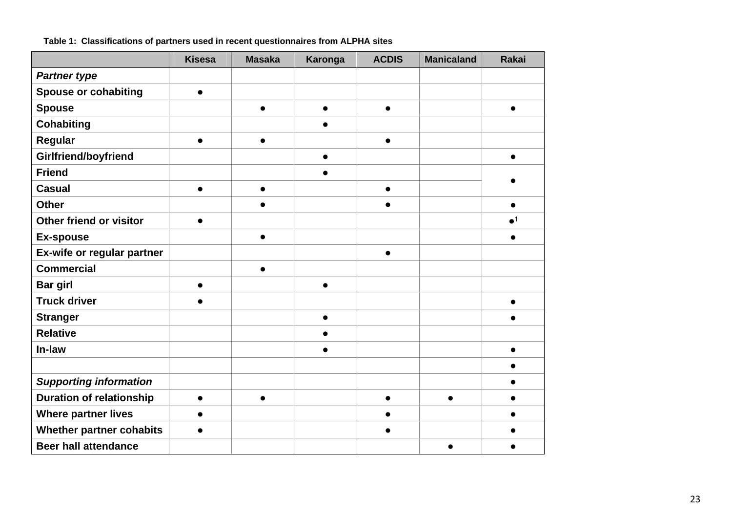|                                 | <b>Kisesa</b> | <b>Masaka</b> | Karonga   | <b>ACDIS</b> | <b>Manicaland</b> | <b>Rakai</b> |
|---------------------------------|---------------|---------------|-----------|--------------|-------------------|--------------|
| <b>Partner type</b>             |               |               |           |              |                   |              |
| <b>Spouse or cohabiting</b>     | $\bullet$     |               |           |              |                   |              |
| <b>Spouse</b>                   |               | $\bullet$     | $\bullet$ | $\bullet$    |                   | $\bullet$    |
| <b>Cohabiting</b>               |               |               | $\bullet$ |              |                   |              |
| Regular                         | $\bullet$     | $\bullet$     |           | $\bullet$    |                   |              |
| Girlfriend/boyfriend            |               |               | $\bullet$ |              |                   | $\bullet$    |
| <b>Friend</b>                   |               |               | $\bullet$ |              |                   |              |
| <b>Casual</b>                   | $\bullet$     | $\bullet$     |           | $\bullet$    |                   |              |
| <b>Other</b>                    |               | $\bullet$     |           | $\bullet$    |                   | $\bullet$    |
| Other friend or visitor         | $\bullet$     |               |           |              |                   | $\bullet^1$  |
| <b>Ex-spouse</b>                |               | $\bullet$     |           |              |                   | $\bullet$    |
| Ex-wife or regular partner      |               |               |           | $\bullet$    |                   |              |
| <b>Commercial</b>               |               | $\bullet$     |           |              |                   |              |
| <b>Bar girl</b>                 | $\bullet$     |               | $\bullet$ |              |                   |              |
| <b>Truck driver</b>             | $\bullet$     |               |           |              |                   | $\bullet$    |
| <b>Stranger</b>                 |               |               | $\bullet$ |              |                   |              |
| <b>Relative</b>                 |               |               | $\bullet$ |              |                   |              |
| In-law                          |               |               | $\bullet$ |              |                   | $\bullet$    |
|                                 |               |               |           |              |                   | ●            |
| <b>Supporting information</b>   |               |               |           |              |                   |              |
| <b>Duration of relationship</b> | $\bullet$     | $\bullet$     |           | $\bullet$    | $\bullet$         | $\bullet$    |
| <b>Where partner lives</b>      | $\bullet$     |               |           |              |                   |              |
| <b>Whether partner cohabits</b> | $\bullet$     |               |           | $\bullet$    |                   | ●            |
| <b>Beer hall attendance</b>     |               |               |           |              |                   |              |

**Table 1: Classifications of partners used in recent questionnaires from ALPHA sites**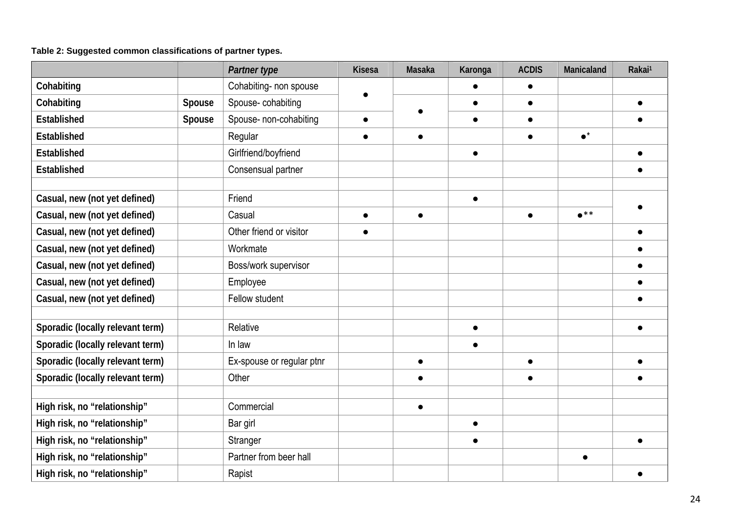#### **Table 2: Suggested common classifications of partner types.**

|                                  |        | Partner type              | <b>Kisesa</b> | Masaka    | Karonga   | <b>ACDIS</b> | Manicaland      | Rakai <sup>1</sup> |
|----------------------------------|--------|---------------------------|---------------|-----------|-----------|--------------|-----------------|--------------------|
| Cohabiting                       |        | Cohabiting- non spouse    |               |           |           | $\bullet$    |                 |                    |
| Cohabiting                       | Spouse | Spouse-cohabiting         |               |           |           | $\bullet$    |                 |                    |
| Established                      | Spouse | Spouse- non-cohabiting    | $\bullet$     |           | $\bullet$ | $\bullet$    |                 |                    |
| Established                      |        | Regular                   | $\bullet$     | $\bullet$ |           | $\bullet$    | $\bullet^\star$ |                    |
| Established                      |        | Girlfriend/boyfriend      |               |           | $\bullet$ |              |                 |                    |
| Established                      |        | Consensual partner        |               |           |           |              |                 |                    |
|                                  |        |                           |               |           |           |              |                 |                    |
| Casual, new (not yet defined)    |        | Friend                    |               |           | $\bullet$ |              |                 |                    |
| Casual, new (not yet defined)    |        | Casual                    | $\bullet$     | $\bullet$ |           | $\bullet$    | $\bullet$ **    |                    |
| Casual, new (not yet defined)    |        | Other friend or visitor   | $\bullet$     |           |           |              |                 |                    |
| Casual, new (not yet defined)    |        | Workmate                  |               |           |           |              |                 |                    |
| Casual, new (not yet defined)    |        | Boss/work supervisor      |               |           |           |              |                 |                    |
| Casual, new (not yet defined)    |        | Employee                  |               |           |           |              |                 |                    |
| Casual, new (not yet defined)    |        | Fellow student            |               |           |           |              |                 |                    |
|                                  |        |                           |               |           |           |              |                 |                    |
| Sporadic (locally relevant term) |        | Relative                  |               |           |           |              |                 |                    |
| Sporadic (locally relevant term) |        | In law                    |               |           | $\bullet$ |              |                 |                    |
| Sporadic (locally relevant term) |        | Ex-spouse or regular ptnr |               |           |           | $\bullet$    |                 |                    |
| Sporadic (locally relevant term) |        | Other                     |               | $\bullet$ |           | $\bullet$    |                 |                    |
|                                  |        |                           |               |           |           |              |                 |                    |
| High risk, no "relationship"     |        | Commercial                |               | $\bullet$ |           |              |                 |                    |
| High risk, no "relationship"     |        | Bar girl                  |               |           | $\bullet$ |              |                 |                    |
| High risk, no "relationship"     |        | Stranger                  |               |           |           |              |                 |                    |
| High risk, no "relationship"     |        | Partner from beer hall    |               |           |           |              | $\bullet$       |                    |
| High risk, no "relationship"     |        | Rapist                    |               |           |           |              |                 |                    |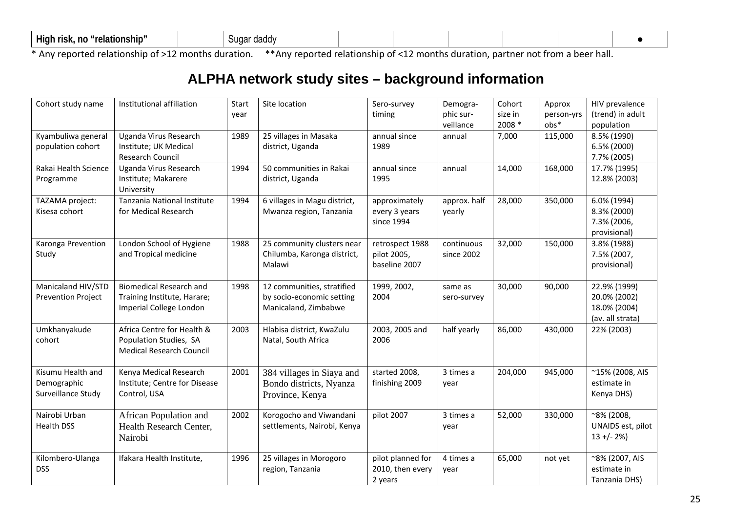| High<br>` "relationship"<br>no<br>risk.<br>suɑa<br>daddy |  |  |  |
|----------------------------------------------------------|--|--|--|
|----------------------------------------------------------|--|--|--|

\* Any reported relationship of >12 months duration. \*\*Any reported relationship of <12 months duration, partner not from <sup>a</sup> beer hall.

# **ALPHA network study sites – background information**

| Cohort study name              | Institutional affiliation       | Start | Site location                               | Sero-survey                           | Demogra-     | Cohort  | Approx     | HIV prevalence                |
|--------------------------------|---------------------------------|-------|---------------------------------------------|---------------------------------------|--------------|---------|------------|-------------------------------|
|                                |                                 | year  |                                             | timing                                | phic sur-    | size in | person-yrs | (trend) in adult              |
|                                |                                 |       |                                             |                                       | veillance    | 2008 *  | obs*       | population                    |
| Kyambuliwa general             | Uganda Virus Research           | 1989  | 25 villages in Masaka                       | annual since                          | annual       | 7,000   | 115,000    | 8.5% (1990)                   |
| population cohort              | Institute; UK Medical           |       | district, Uganda                            | 1989                                  |              |         |            | 6.5% (2000)                   |
|                                | <b>Research Council</b>         |       |                                             |                                       |              |         |            | 7.7% (2005)                   |
| Rakai Health Science           | Uganda Virus Research           | 1994  | 50 communities in Rakai                     | annual since                          | annual       | 14,000  | 168,000    | 17.7% (1995)                  |
| Programme                      | Institute; Makarere             |       | district, Uganda                            | 1995                                  |              |         |            | 12.8% (2003)                  |
|                                | University                      |       |                                             |                                       |              |         |            |                               |
| TAZAMA project:                | Tanzania National Institute     | 1994  | 6 villages in Magu district,                | approximately                         | approx. half | 28,000  | 350,000    | 6.0% (1994)                   |
| Kisesa cohort                  | for Medical Research            |       | Mwanza region, Tanzania                     | every 3 years                         | yearly       |         |            | 8.3% (2000)                   |
|                                |                                 |       |                                             | since 1994                            |              |         |            | 7.3% (2006,                   |
|                                |                                 |       |                                             |                                       |              |         |            | provisional)                  |
| Karonga Prevention             | London School of Hygiene        | 1988  | 25 community clusters near                  | retrospect 1988                       | continuous   | 32,000  | 150,000    | 3.8% (1988)                   |
| Study                          | and Tropical medicine           |       | Chilumba, Karonga district,                 | pilot 2005,                           | since 2002   |         |            | 7.5% (2007,                   |
|                                |                                 |       | Malawi                                      | baseline 2007                         |              |         |            | provisional)                  |
|                                |                                 |       |                                             |                                       |              |         |            |                               |
| Manicaland HIV/STD             | <b>Biomedical Research and</b>  | 1998  | 12 communities, stratified                  | 1999, 2002,                           | same as      | 30,000  | 90,000     | 22.9% (1999)                  |
| Prevention Project             | Training Institute, Harare;     |       | by socio-economic setting                   | 2004                                  | sero-survey  |         |            | 20.0% (2002)                  |
|                                | Imperial College London         |       | Manicaland, Zimbabwe                        |                                       |              |         |            | 18.0% (2004)                  |
|                                |                                 |       |                                             |                                       |              |         |            | (av. all strata)              |
| Umkhanyakude                   | Africa Centre for Health &      | 2003  | Hlabisa district, KwaZulu                   | 2003, 2005 and                        | half yearly  | 86,000  | 430,000    | 22% (2003)                    |
| cohort                         | Population Studies, SA          |       | Natal, South Africa                         | 2006                                  |              |         |            |                               |
|                                | <b>Medical Research Council</b> |       |                                             |                                       |              |         |            |                               |
|                                |                                 |       |                                             |                                       |              |         |            |                               |
| Kisumu Health and              | Kenya Medical Research          | 2001  | 384 villages in Siaya and                   | started 2008,                         | 3 times a    | 204,000 | 945,000    | ~15% (2008, AIS               |
| Demographic                    | Institute; Centre for Disease   |       | Bondo districts, Nyanza                     | finishing 2009                        | year         |         |            | estimate in                   |
| Surveillance Study             | Control, USA                    |       | Province, Kenya                             |                                       |              |         |            | Kenya DHS)                    |
|                                |                                 |       |                                             |                                       |              |         |            |                               |
| Nairobi Urban                  | African Population and          | 2002  | Korogocho and Viwandani                     | pilot 2007                            | 3 times a    | 52,000  | 330,000    | ~8% (2008,                    |
| <b>Health DSS</b>              | Health Research Center,         |       | settlements, Nairobi, Kenya                 |                                       | year         |         |            | UNAIDS est, pilot             |
|                                | Nairobi                         |       |                                             |                                       |              |         |            | $13 + (-2%)$                  |
|                                |                                 |       |                                             |                                       |              |         |            |                               |
| Kilombero-Ulanga<br><b>DSS</b> | Ifakara Health Institute,       | 1996  | 25 villages in Morogoro<br>region, Tanzania | pilot planned for<br>2010, then every | 4 times a    | 65,000  | not yet    | ~8% (2007, AIS<br>estimate in |
|                                |                                 |       |                                             |                                       | year         |         |            |                               |
|                                |                                 |       |                                             | 2 years                               |              |         |            | Tanzania DHS)                 |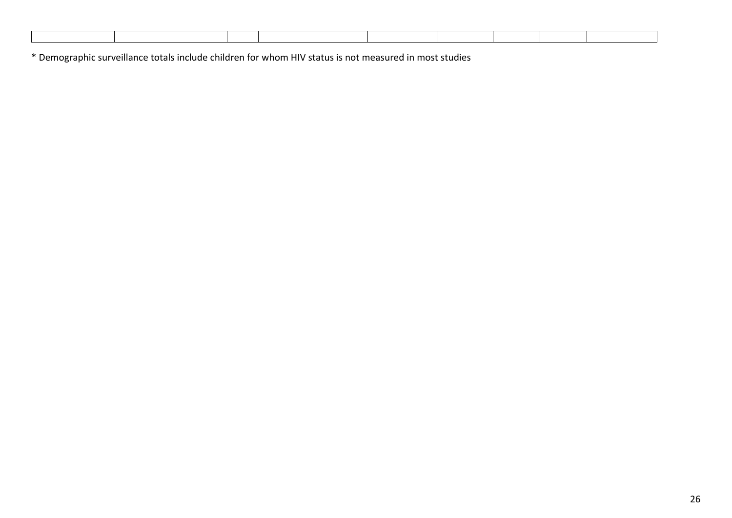\* Demographic surveillance totals include children for whom HIV status is not measured in most studies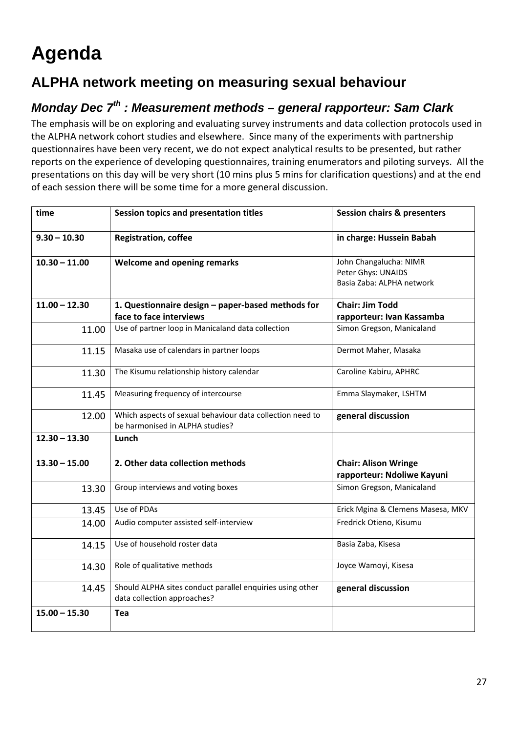# **Agenda**

# **ALPHA network meeting on measuring sexual behaviour**

# *Monday Dec 7th : Measurement methods – general rapporteur: Sam Clark*

The emphasis will be on exploring and evaluating survey instruments and data collection protocols used in the ALPHA network cohort studies and elsewhere. Since many of the experiments with partnership questionnaires have been very recent, we do not expect analytical results to be presented, but rather reports on the experience of developing questionnaires, training enumerators and piloting surveys. All the presentations on this day will be very short (10 mins plus 5 mins for clarification questions) and at the end of each session there will be some time for a more general discussion.

| time            | Session topics and presentation titles                                                       | <b>Session chairs &amp; presenters</b>                                    |
|-----------------|----------------------------------------------------------------------------------------------|---------------------------------------------------------------------------|
| $9.30 - 10.30$  | <b>Registration, coffee</b>                                                                  | in charge: Hussein Babah                                                  |
| $10.30 - 11.00$ | <b>Welcome and opening remarks</b>                                                           | John Changalucha: NIMR<br>Peter Ghys: UNAIDS<br>Basia Zaba: ALPHA network |
| $11.00 - 12.30$ | 1. Questionnaire design - paper-based methods for                                            | <b>Chair: Jim Todd</b>                                                    |
|                 | face to face interviews                                                                      | rapporteur: Ivan Kassamba                                                 |
| 11.00           | Use of partner loop in Manicaland data collection                                            | Simon Gregson, Manicaland                                                 |
| 11.15           | Masaka use of calendars in partner loops                                                     | Dermot Maher, Masaka                                                      |
| 11.30           | The Kisumu relationship history calendar                                                     | Caroline Kabiru, APHRC                                                    |
| 11.45           | Measuring frequency of intercourse                                                           | Emma Slaymaker, LSHTM                                                     |
| 12.00           | Which aspects of sexual behaviour data collection need to<br>be harmonised in ALPHA studies? | general discussion                                                        |
| $12.30 - 13.30$ | Lunch                                                                                        |                                                                           |
| $13.30 - 15.00$ | 2. Other data collection methods                                                             | <b>Chair: Alison Wringe</b><br>rapporteur: Ndoliwe Kayuni                 |
| 13.30           | Group interviews and voting boxes                                                            | Simon Gregson, Manicaland                                                 |
| 13.45           | Use of PDAs                                                                                  | Erick Mgina & Clemens Masesa, MKV                                         |
| 14.00           | Audio computer assisted self-interview                                                       | Fredrick Otieno, Kisumu                                                   |
| 14.15           | Use of household roster data                                                                 | Basia Zaba, Kisesa                                                        |
| 14.30           | Role of qualitative methods                                                                  | Joyce Wamoyi, Kisesa                                                      |
| 14.45           | Should ALPHA sites conduct parallel enquiries using other<br>data collection approaches?     | general discussion                                                        |
| $15.00 - 15.30$ | <b>Tea</b>                                                                                   |                                                                           |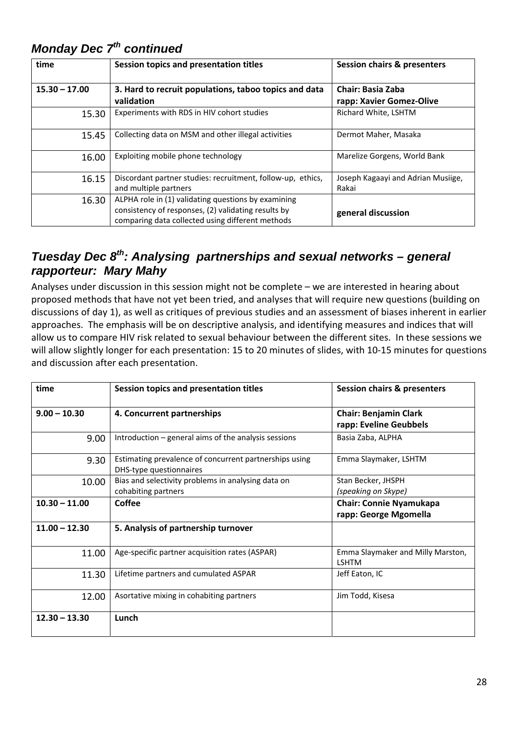| time            | Session topics and presentation titles                                                                                                                         | <b>Session chairs &amp; presenters</b>               |
|-----------------|----------------------------------------------------------------------------------------------------------------------------------------------------------------|------------------------------------------------------|
| $15.30 - 17.00$ | 3. Hard to recruit populations, taboo topics and data<br>validation                                                                                            | <b>Chair: Basia Zaba</b><br>rapp: Xavier Gomez-Olive |
| 15.30           | Experiments with RDS in HIV cohort studies                                                                                                                     | Richard White, LSHTM                                 |
| 15.45           | Collecting data on MSM and other illegal activities                                                                                                            | Dermot Maher, Masaka                                 |
| 16.00           | Exploiting mobile phone technology                                                                                                                             | Marelize Gorgens, World Bank                         |
| 16.15           | Discordant partner studies: recruitment, follow-up, ethics,<br>and multiple partners                                                                           | Joseph Kagaayi and Adrian Musiige,<br>Rakai          |
| 16.30           | ALPHA role in (1) validating questions by examining<br>consistency of responses, (2) validating results by<br>comparing data collected using different methods | general discussion                                   |

# *Monday Dec 7th continued*

### *Tuesday Dec 8<sup>th</sup>: Analysing partnerships and sexual networks – general rapporteur: Mary Mahy*

Analyses under discussion in this session might not be complete – we are interested in hearing about proposed methods that have not yet been tried, and analyses that will require new questions (building on discussions of day 1), as well as critiques of previous studies and an assessment of biases inherent in earlier approaches. The emphasis will be on descriptive analysis, and identifying measures and indices that will allow us to compare HIV risk related to sexual behaviour between the different sites. In these sessions we will allow slightly longer for each presentation: 15 to 20 minutes of slides, with 10‐15 minutes for questions and discussion after each presentation.

| time            | Session topics and presentation titles                                            | <b>Session chairs &amp; presenters</b>                  |
|-----------------|-----------------------------------------------------------------------------------|---------------------------------------------------------|
| $9.00 - 10.30$  | 4. Concurrent partnerships                                                        | <b>Chair: Benjamin Clark</b><br>rapp: Eveline Geubbels  |
| 9.00            | Introduction $-$ general aims of the analysis sessions                            | Basia Zaba, ALPHA                                       |
| 9.30            | Estimating prevalence of concurrent partnerships using<br>DHS-type questionnaires | Emma Slaymaker, LSHTM                                   |
| 10.00           | Bias and selectivity problems in analysing data on<br>cohabiting partners         | Stan Becker, JHSPH<br>(speaking on Skype)               |
| $10.30 - 11.00$ | <b>Coffee</b>                                                                     | <b>Chair: Connie Nyamukapa</b><br>rapp: George Mgomella |
| $11.00 - 12.30$ | 5. Analysis of partnership turnover                                               |                                                         |
| 11.00           | Age-specific partner acquisition rates (ASPAR)                                    | Emma Slaymaker and Milly Marston,<br><b>LSHTM</b>       |
| 11.30           | Lifetime partners and cumulated ASPAR                                             | Jeff Eaton, IC                                          |
| 12.00           | Asortative mixing in cohabiting partners                                          | Jim Todd, Kisesa                                        |
| $12.30 - 13.30$ | Lunch                                                                             |                                                         |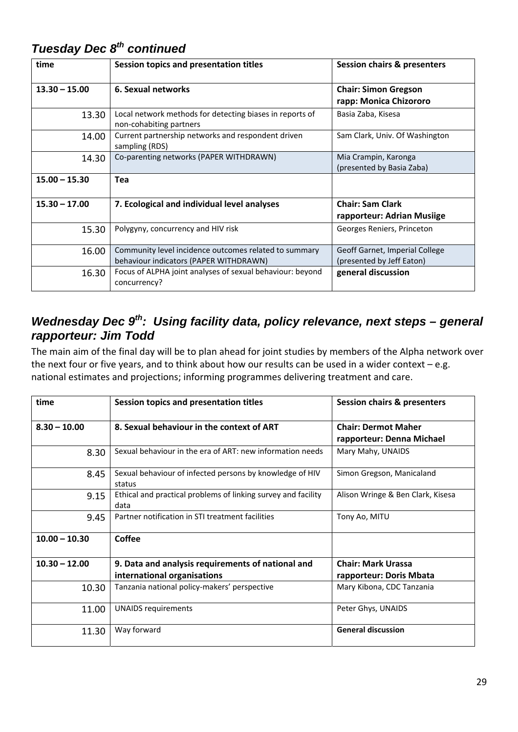| time            | Session topics and presentation titles                                                          | <b>Session chairs &amp; presenters</b>                      |
|-----------------|-------------------------------------------------------------------------------------------------|-------------------------------------------------------------|
| $13.30 - 15.00$ | 6. Sexual networks                                                                              | <b>Chair: Simon Gregson</b><br>rapp: Monica Chizororo       |
| 13.30           | Local network methods for detecting biases in reports of<br>non-cohabiting partners             | Basia Zaba, Kisesa                                          |
| 14.00           | Current partnership networks and respondent driven<br>sampling (RDS)                            | Sam Clark, Univ. Of Washington                              |
| 14.30           | Co-parenting networks (PAPER WITHDRAWN)                                                         | Mia Crampin, Karonga<br>(presented by Basia Zaba)           |
| $15.00 - 15.30$ | <b>Tea</b>                                                                                      |                                                             |
| $15.30 - 17.00$ | 7. Ecological and individual level analyses                                                     | <b>Chair: Sam Clark</b><br>rapporteur: Adrian Musiige       |
| 15.30           | Polygyny, concurrency and HIV risk                                                              | Georges Reniers, Princeton                                  |
| 16.00           | Community level incidence outcomes related to summary<br>behaviour indicators (PAPER WITHDRAWN) | Geoff Garnet, Imperial College<br>(presented by Jeff Eaton) |
| 16.30           | Focus of ALPHA joint analyses of sexual behaviour: beyond<br>concurrency?                       | general discussion                                          |

## *Tuesday Dec 8th continued*

### *Wednesday Dec 9th: Using facility data, policy relevance, next steps – general rapporteur: Jim Todd*

The main aim of the final day will be to plan ahead for joint studies by members of the Alpha network over the next four or five years, and to think about how our results can be used in a wider context – e.g. national estimates and projections; informing programmes delivering treatment and care.

| time            | Session topics and presentation titles                                           | <b>Session chairs &amp; presenters</b>                  |
|-----------------|----------------------------------------------------------------------------------|---------------------------------------------------------|
| $8.30 - 10.00$  | 8. Sexual behaviour in the context of ART                                        | <b>Chair: Dermot Maher</b><br>rapporteur: Denna Michael |
| 8.30            | Sexual behaviour in the era of ART: new information needs                        | Mary Mahy, UNAIDS                                       |
| 8.45            | Sexual behaviour of infected persons by knowledge of HIV<br>status               | Simon Gregson, Manicaland                               |
| 9.15            | Ethical and practical problems of linking survey and facility<br>data            | Alison Wringe & Ben Clark, Kisesa                       |
| 9.45            | Partner notification in STI treatment facilities                                 | Tony Ao, MITU                                           |
| $10.00 - 10.30$ | <b>Coffee</b>                                                                    |                                                         |
| $10.30 - 12.00$ | 9. Data and analysis requirements of national and<br>international organisations | <b>Chair: Mark Urassa</b><br>rapporteur: Doris Mbata    |
| 10.30           | Tanzania national policy-makers' perspective                                     | Mary Kibona, CDC Tanzania                               |
| 11.00           | <b>UNAIDS requirements</b>                                                       | Peter Ghys, UNAIDS                                      |
| 11.30           | Way forward                                                                      | <b>General discussion</b>                               |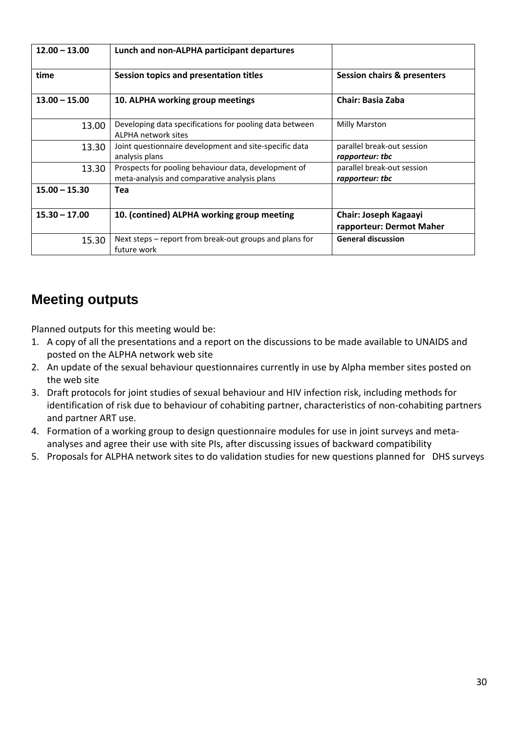| $12.00 - 13.00$ | Lunch and non-ALPHA participant departures                                                           |                                                   |
|-----------------|------------------------------------------------------------------------------------------------------|---------------------------------------------------|
| time            | Session topics and presentation titles                                                               | <b>Session chairs &amp; presenters</b>            |
| $13.00 - 15.00$ | 10. ALPHA working group meetings                                                                     | <b>Chair: Basia Zaba</b>                          |
| 13.00           | Developing data specifications for pooling data between<br>ALPHA network sites                       | Milly Marston                                     |
| 13.30           | Joint questionnaire development and site-specific data<br>analysis plans                             | parallel break-out session<br>rapporteur: tbc     |
| 13.30           | Prospects for pooling behaviour data, development of<br>meta-analysis and comparative analysis plans | parallel break-out session<br>rapporteur: tbc     |
| $15.00 - 15.30$ | Tea                                                                                                  |                                                   |
| $15.30 - 17.00$ | 10. (contined) ALPHA working group meeting                                                           | Chair: Joseph Kagaayi<br>rapporteur: Dermot Maher |
| 15.30           | Next steps – report from break-out groups and plans for<br>future work                               | <b>General discussion</b>                         |

# **Meeting outputs**

Planned outputs for this meeting would be:

- 1. A copy of all the presentations and a report on the discussions to be made available to UNAIDS and posted on the ALPHA network web site
- 2. An update of the sexual behaviour questionnaires currently in use by Alpha member sites posted on the web site
- 3. Draft protocols for joint studies of sexual behaviour and HIV infection risk, including methods for identification of risk due to behaviour of cohabiting partner, characteristics of non‐cohabiting partners and partner ART use.
- 4. Formation of a working group to design questionnaire modules for use in joint surveys and metaanalyses and agree their use with site PIs, after discussing issues of backward compatibility
- 5. Proposals for ALPHA network sites to do validation studies for new questions planned for DHS surveys